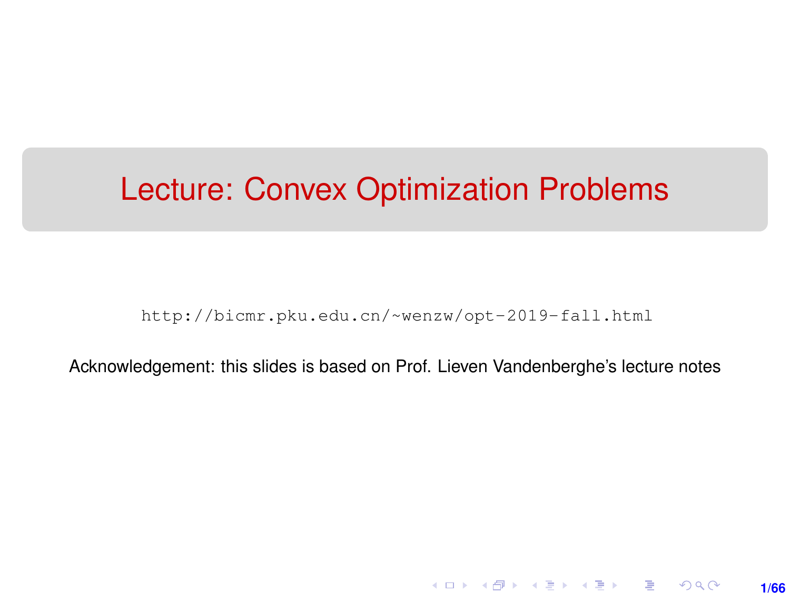## <span id="page-0-0"></span>Lecture: Convex Optimization Problems

[http://bicmr.pku.edu.cn/~wenzw/opt-2019-fall.html](http://bicmr.pku.edu.cn/~wenzw/opt-2019-fall.html )

Acknowledgement: this slides is based on Prof. Lieven Vandenberghe's lecture notes

**1/66**

K ロ ▶ K 레 ▶ K 회 ▶ K 회 ▶ │ 회 │ ⊙ Q Q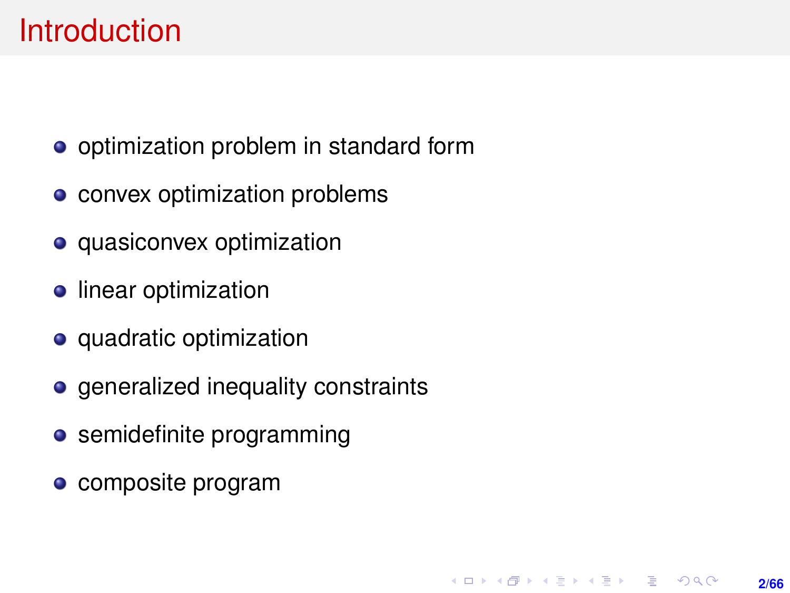## <span id="page-1-0"></span>**Introduction**

- optimization problem in standard form
- convex optimization problems
- **o** quasiconvex optimization
- **•** linear optimization
- quadratic optimization
- generalized inequality constraints
- **•** semidefinite programming
- **c** composite program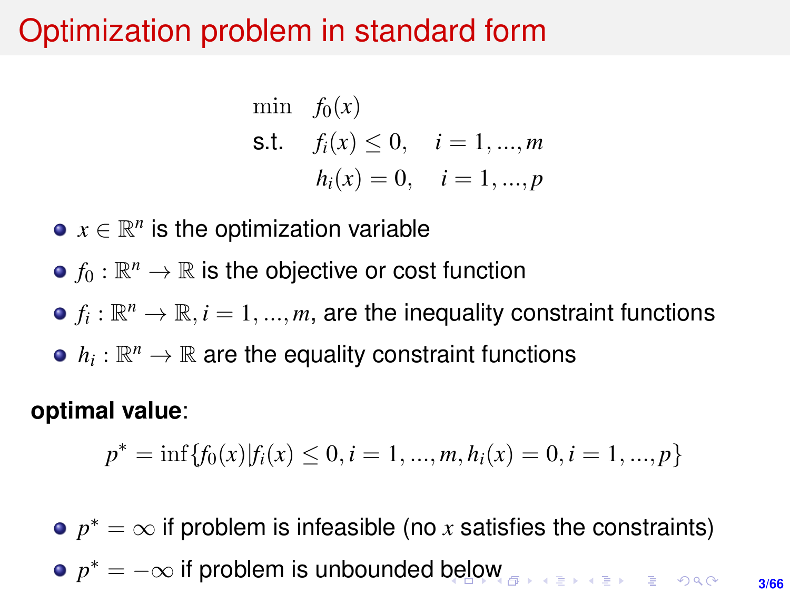## <span id="page-2-0"></span>Optimization problem in standard form

min  $f_0(x)$ s.t.  $f_i(x) \leq 0, \quad i = 1, ..., m$  $h_i(x) = 0, \quad i = 1, ..., p$ 

- $x \in \mathbb{R}^n$  is the optimization variable
- $f_0:\mathbb{R}^n\rightarrow\mathbb{R}$  is the objective or cost function
- $f_i:\mathbb{R}^n\rightarrow\mathbb{R}, i=1,...,m,$  are the inequality constraint functions
- $h_i:\mathbb{R}^n\rightarrow\mathbb{R}$  are the equality constraint functions

**optimal value**:

$$
p^* = \inf\{f_0(x)|f_i(x) \le 0, i = 1, ..., m, h_i(x) = 0, i = 1, ..., p\}
$$

 $p^* = \infty$  if problem is infeasible (no *x* satisfies the constraints)  $p^* = -\infty$  if problem is unbounded [be](#page-1-0)l[o](#page-3-0)[w](#page-1-0)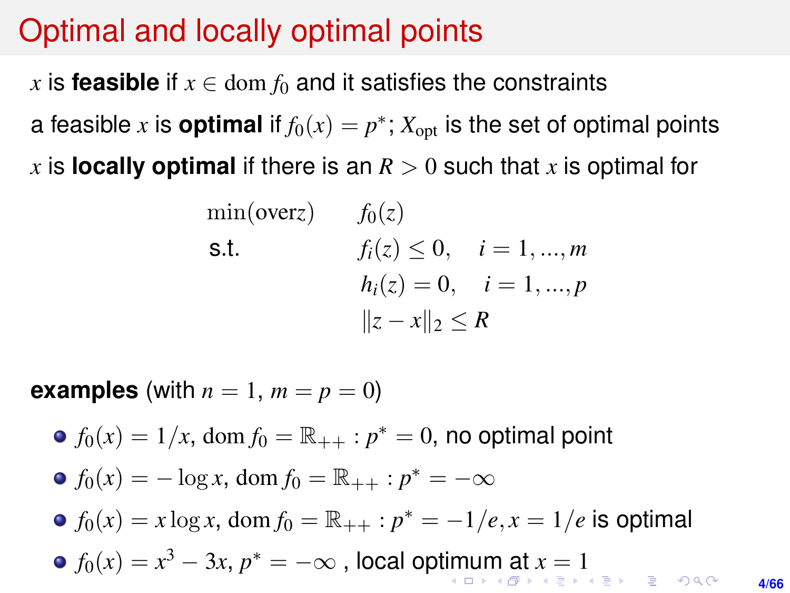#### <span id="page-3-0"></span>Optimal and locally optimal points

*x* is **feasible** if  $x \in \text{dom } f_0$  and it satisfies the constraints a feasible  $x$  is **optimal** if  $f_0(x) = p^*$ ;  $X_{\text{opt}}$  is the set of optimal points x is **locally optimal** if there is an  $R > 0$  such that x is optimal for

> $\min(\text{overz})$   $f_0(z)$ s.t.  $f_i(z) \leq 0, \quad i = 1, ..., m$  $h_i(z) = 0, \quad i = 1, ..., p$  $||z - x||_2$  ≤ *R*

**examples** (with  $n = 1$ ,  $m = p = 0$ )

 $f_0(x) = 1/x$ , dom  $f_0 = \mathbb{R}_{++} : p^* = 0$ , no optimal point  $f_0(x) = -\log x$ , dom  $f_0 = \mathbb{R}_{++} : p^* = -\infty$  $f_0(x) = x \log x$ , dom  $f_0 = \mathbb{R}_{++} : p^* = -1/e$ ,  $x = 1/e$  is optimal  $f_0(x) = x^3 - 3x$  $f_0(x) = x^3 - 3x$  $f_0(x) = x^3 - 3x$  $f_0(x) = x^3 - 3x$  $f_0(x) = x^3 - 3x$ ,  $p^* = -\infty$  $p^* = -\infty$  $p^* = -\infty$  , local op[tim](#page-2-0)[u](#page-4-0)[m](#page-2-0) [a](#page-3-0)t  $x = 1$  $x = 1$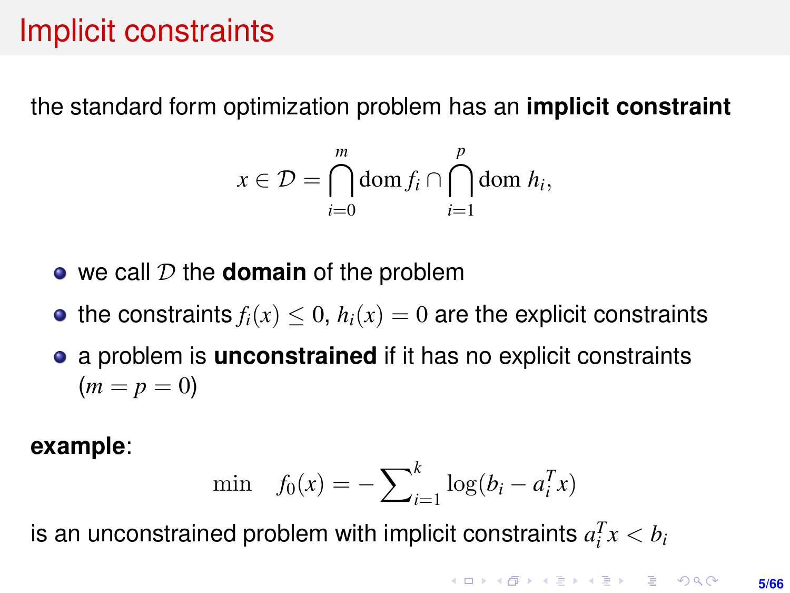## <span id="page-4-0"></span>Implicit constraints

the standard form optimization problem has an **implicit constraint**

$$
x \in \mathcal{D} = \bigcap_{i=0}^{m} \text{dom } f_i \cap \bigcap_{i=1}^{p} \text{dom } h_i,
$$

- we call D the **domain** of the problem
- the constraints  $f_i(x) \leq 0$ ,  $h_i(x) = 0$  are the explicit constraints
- a problem is **unconstrained** if it has no explicit constraints  $(m = p = 0)$

**example**:

min 
$$
f_0(x) = -\sum_{i=1}^{k} \log(b_i - a_i^T x)
$$

is an unconstrained problem with implicit constraints  $a_i^T x < b_i$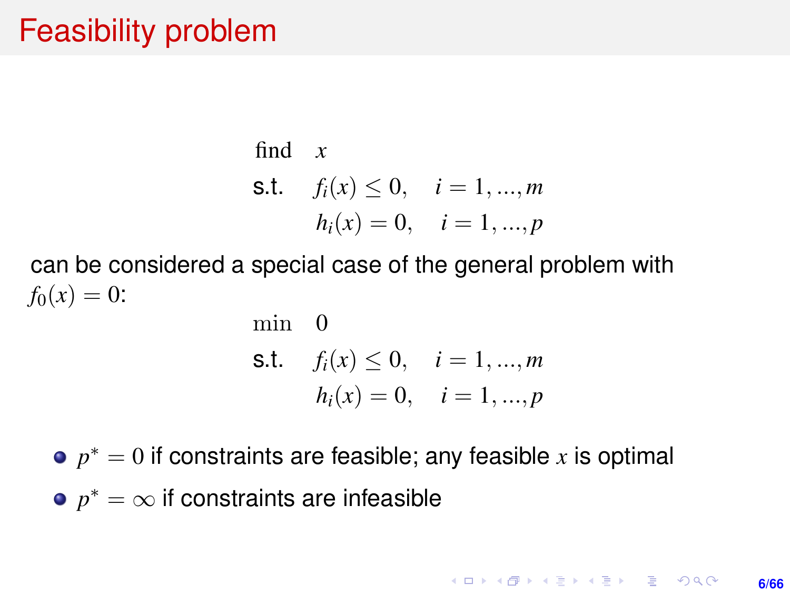## Feasibility problem

find *x*  
\n**s.t.** 
$$
f_i(x) \le 0
$$
,  $i = 1, ..., m$   
\n $h_i(x) = 0$ ,  $i = 1, ..., p$ 

can be considered a special case of the general problem with  $f_0(x) = 0$ :

min 0  
\ns.t. 
$$
f_i(x) \le 0
$$
,  $i = 1, ..., m$   
\n $h_i(x) = 0$ ,  $i = 1, ..., p$ 

 $p^* = 0$  if constraints are feasible; any feasible  $x$  is optimal  $p^* = \infty$  if constraints are infeasible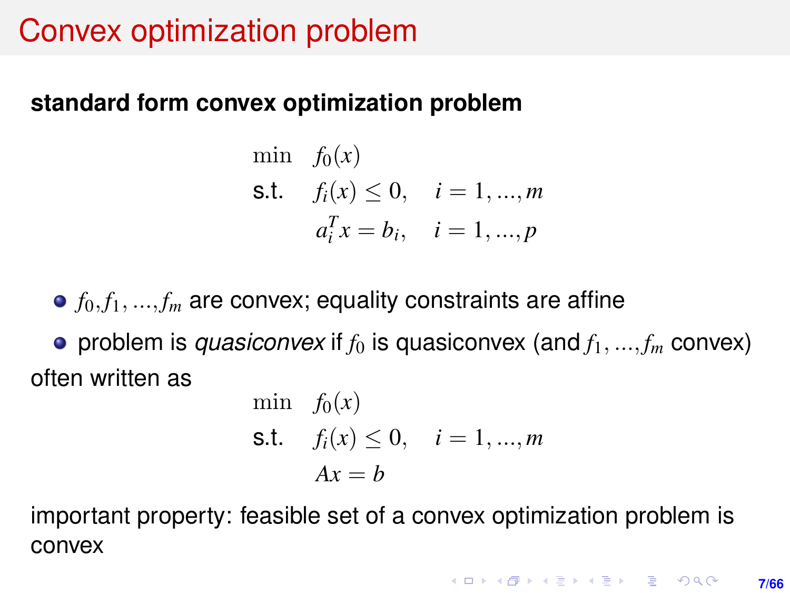## Convex optimization problem

#### **standard form convex optimization problem**

min  $f_0(x)$ s.t.  $f_i(x) \leq 0, \quad i = 1, ..., m$  $a_i^T x = b_i, \quad i = 1, ..., p$ 

 $\bullet$   $f_0, f_1, ..., f_m$  are convex; equality constraints are affine • problem is *quasiconvex* if  $f_0$  is quasiconvex (and  $f_1, ..., f_m$  convex) often written as

min 
$$
f_0(x)
$$
  
\n**s.t.**  $f_i(x) \le 0$ ,  $i = 1, ..., m$   
\n $Ax = b$ 

important property: feasible set of a convex optimization problem is convex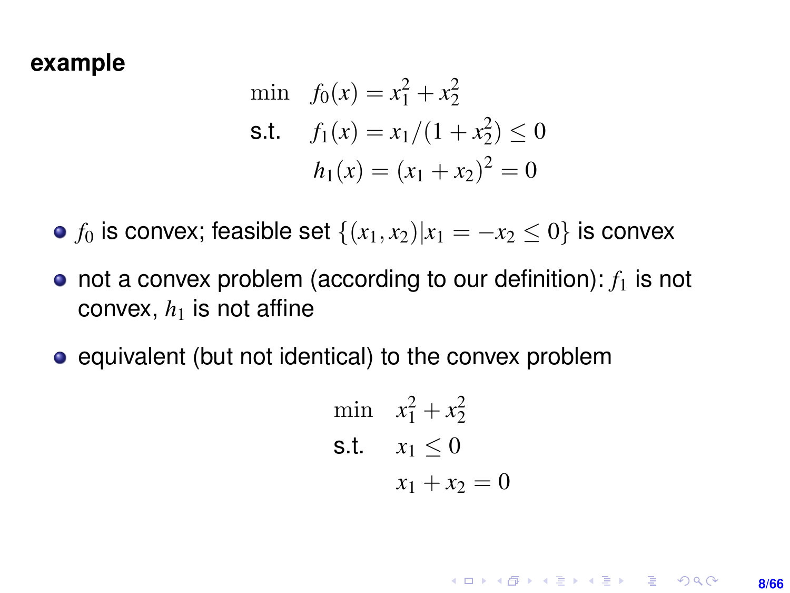#### **example**

min 
$$
f_0(x) = x_1^2 + x_2^2
$$
  
\ns.t.  $f_1(x) = x_1/(1 + x_2^2) \le 0$   
\n $h_1(x) = (x_1 + x_2)^2 = 0$ 

• *f*<sub>0</sub> is convex; feasible set  $\{(x_1, x_2)|x_1 = -x_2 \le 0\}$  is convex

- $\bullet$  not a convex problem (according to our definition):  $f_1$  is not convex,  $h_1$  is not affine
- equivalent (but not identical) to the convex problem

min 
$$
x_1^2 + x_2^2
$$
  
\ns.t.  $x_1 \le 0$   
\n $x_1 + x_2 = 0$ 

**KOD KAD KED KED E YOUR 8/66**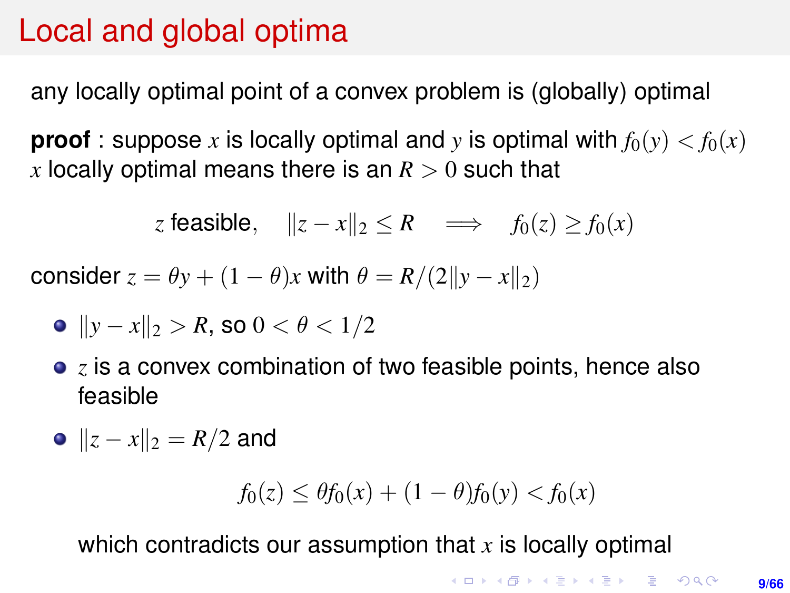## <span id="page-8-0"></span>Local and global optima

any locally optimal point of a convex problem is (globally) optimal

**proof**: suppose x is locally optimal and y is optimal with  $f_0(y) < f_0(x)$ *x* locally optimal means there is an  $R > 0$  such that

z feasible, 
$$
||z-x||_2 \le R \implies f_0(z) \ge f_0(x)
$$

consider  $z = \theta y + (1 - \theta)x$  with  $\theta = R/(2||y - x||_2)$ 

• 
$$
||y - x||_2 > R
$$
, so  $0 < \theta < 1/2$ 

**•** *z* is a convex combination of two feasible points, hence also feasible

$$
\bullet \parallel z - x \parallel_2 \ = R/2 \text{ and}
$$

$$
f_0(z) \le \theta f_0(x) + (1 - \theta)f_0(y) < f_0(x)
$$

which contradicts our assumption that *x* is locally optimal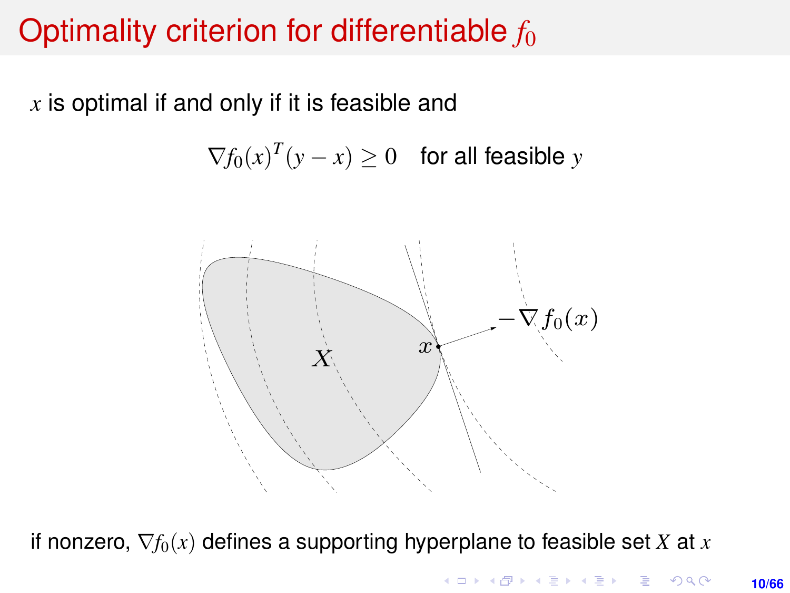# <span id="page-9-0"></span>Optimality criterion for differentiable  $f_0$

 $x$  is optimal if and only if it is feasible and  $\frac{1}{\sqrt{2}}$ 

 $\nabla f_0(x)^T (y - x) \geq 0$  for all feasible *y*  $y \sim x$  is considered and  $y$ 



if nonzero,  $\nabla f_0(x)$  defines a supporting hyperplane to feasible set *X* at *x*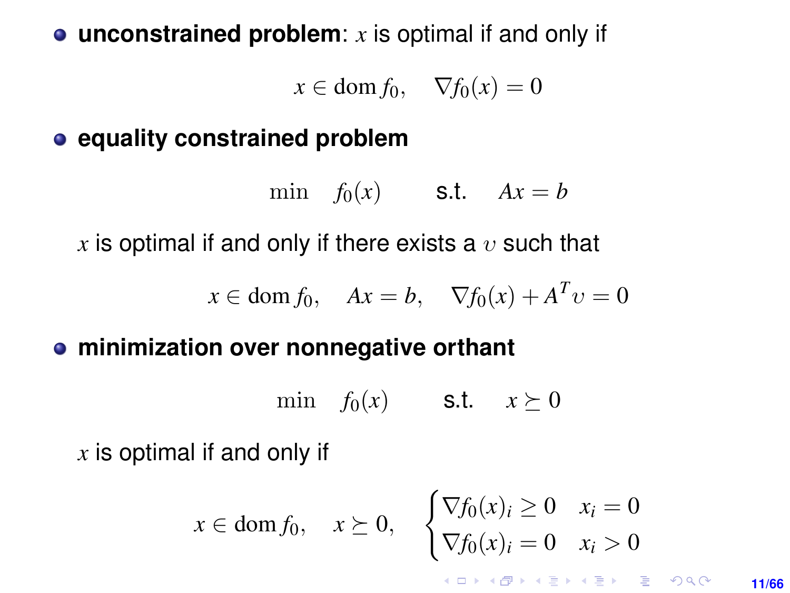#### <span id="page-10-0"></span>**unconstrained problem**: *x* is optimal if and only if

 $x \in$  dom  $f_0$ ,  $\nabla f_0(x) = 0$ 

#### **e** equality constrained problem

min  $f_0(x)$  **s.t.**  $Ax = b$ 

*x* is optimal if and only if there exists a  $v$  such that

 $x \in \text{dom } f_0, \quad Ax = b, \quad \nabla f_0(x) + A^T v = 0$ 

#### **minimization over nonnegative orthant**

min  $f_0(x)$  **s.t.**  $x \succeq 0$ 

*x* is optimal if and only if

$$
x \in \text{dom}\, f_0, \quad x \succeq 0, \quad \begin{cases} \nabla f_0(x)_i \ge 0 & x_i = 0 \\ \nabla f_0(x)_i = 0 & x_i > 0 \end{cases}
$$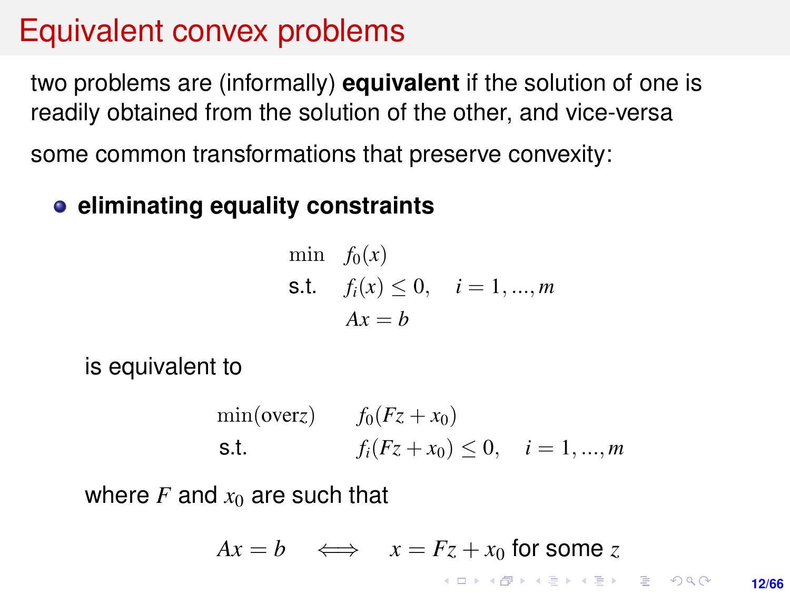## Equivalent convex problems

two problems are (informally) **equivalent** if the solution of one is readily obtained from the solution of the other, and vice-versa some common transformations that preserve convexity:

#### **eliminating equality constraints**

min 
$$
f_0(x)
$$
  
\n**s.t.**  $f_i(x) \le 0$ ,  $i = 1, ..., m$   
\n $Ax = b$ 

is equivalent to

min(overz) 
$$
f_0(Fz + x_0)
$$
  
\ns.t.  $f_i(Fz + x_0) \le 0, \quad i = 1, ..., m$ 

where  $F$  and  $x_0$  are such that

$$
Ax = b \iff x = Fz + x_0 \text{ for some } z
$$

**12/66**

 $2Q$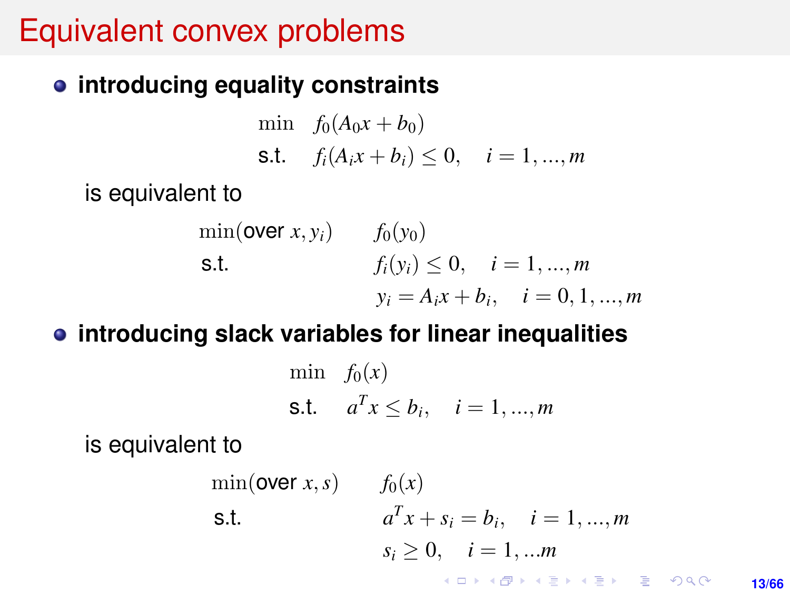## Equivalent convex problems

#### **introducing equality constraints**

min  $f_0(A_0x + b_0)$ s.t.  $f_i(A_ix + b_i) \leq 0, \quad i = 1, ..., m$ 

is equivalent to

min(**over** x, y<sub>i</sub>) 
$$
f_0(y_0)
$$
  
\n**s.t.**  $f_i(y_i) \le 0, \quad i = 1, ..., m$   
\n $y_i = A_i x + b_i, \quad i = 0, 1, ..., m$ 

#### **introducing slack variables for linear inequalities**

$$
\begin{aligned}\n\min \quad & f_0(x) \\
\text{s.t.} \quad & a^T x \le b_i, \quad i = 1, \dots, m\n\end{aligned}
$$

is equivalent to

$$
\min(\text{over } x, s) \qquad f_0(x)
$$
\n
$$
\text{s.t.} \qquad a^T x + s_i = b_i, \quad i = 1, ..., m
$$
\n
$$
s_i \ge 0, \quad i = 1, ..., m
$$
\n
$$
\lim_{(a, b) \in \mathbb{R}^n} a^T x + s_i = b^T x + \lim_{(a, b) \in \mathbb{R}^n} a^T x + s_i = b^T x + \lim_{(a, b) \in \mathbb{R}^n} a^T x + s_i = b^T x + \lim_{(a, b) \in \mathbb{R}^n} a^T x + s_i = b^T x + \lim_{(a, b) \in \mathbb{R}^n} a^T x + s_i = b^T x + \lim_{(a, b) \in \mathbb{R}^n} a^T x + s_i = b^T x + \lim_{(a, b) \in \mathbb{R}^n} a^T x + s_i = b^T x + \lim_{(a, b) \in \mathbb{R}^n} a^T x + s_i = b^T x + \lim_{(a, b) \in \mathbb{R}^n} a^T x + s_i = b^T x + \lim_{(a, b) \in \mathbb{R}^n} a^T x + s_i = b^T x + \lim_{(a, b) \in \mathbb{R}^n} a^T x + s_i = b^T x + \lim_{(a, b) \in \mathbb{R}^n} a^T x + s_i = b^T x + \lim_{(a, b) \in \mathbb{R}^n} a^T x + s_i = b^T x + \lim_{(a, b) \in \mathbb{R}^n} a^T x + s_i = b^T x + \lim_{(a, b) \in \mathbb{R}^n} a^T x + s_i = b^T x + \lim_{(a, b) \in \mathbb{R}^n} a^T x + s_i = b^T x + \lim_{(a, b) \in \mathbb{R}^n} a^T x + s_i = b^T x + \lim_{(a, b) \in \mathbb{R}^n} a^T x + s_i = b^T x + \lim_{(a, b) \in \mathbb{R}^n} a^T x + s_i = b^T x + \lim_{(a, b) \in \mathbb{R}^n} a^T x + s_i = b^T x + \lim_{(a, b) \in \mathbb{R}^n} a^T x + s_i = b^
$$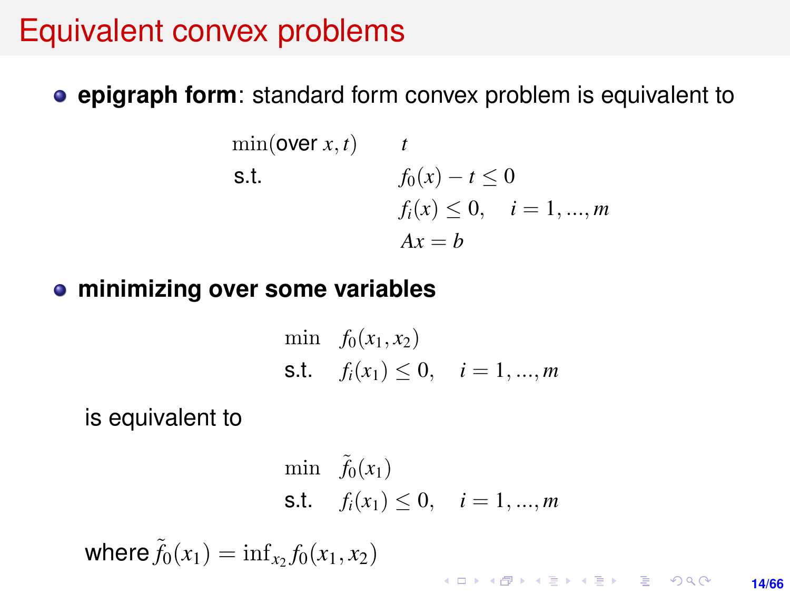### Equivalent convex problems

**epigraph form**: standard form convex problem is equivalent to

$$
\begin{array}{ll}\n\min(\text{over } x, t) & t \\
\text{s.t.} & f_0(x) - t \le 0 \\
& f_i(x) \le 0, \quad i = 1, \dots, m \\
& Ax = b\n\end{array}
$$

#### **minimizing over some variables**

min 
$$
f_0(x_1, x_2)
$$
  
\n**s.t.**  $f_i(x_1) \le 0, \quad i = 1, ..., m$ 

is equivalent to

$$
\begin{aligned}\n\min \quad & \tilde{f}_0(x_1) \\
\text{s.t.} \quad & f_i(x_1) \le 0, \quad i = 1, \dots, m\n\end{aligned}
$$

where  $\tilde{f}_0(x_1) = \inf_{x_2} f_0(x_1, x_2)$ 

KO KKO KABIKA BIKA 2000 **14/66**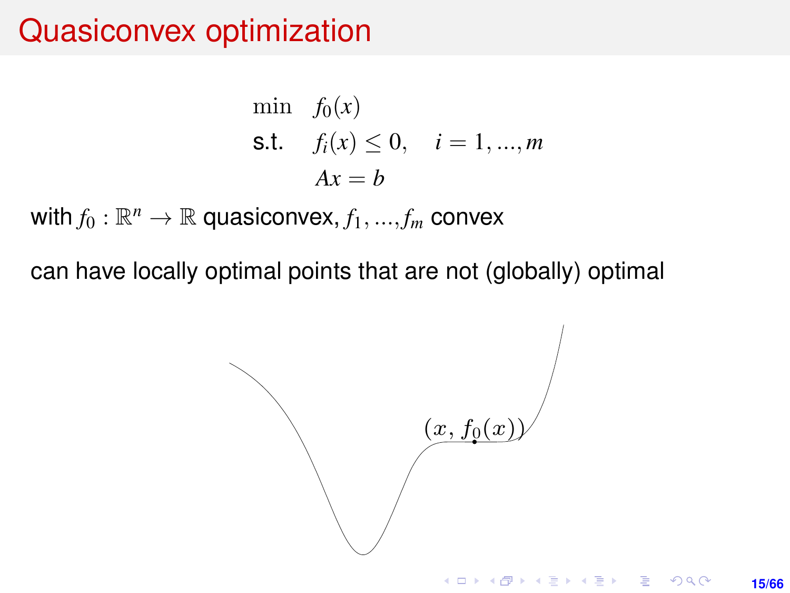## Quasiconvex optimization

$$
\begin{aligned}\n\min \quad & f_0(x) \\
\text{s.t.} \quad & f_i(x) \le 0, \quad i = 1, \dots, m \\
& Ax = b\n\end{aligned}
$$

 $\mathsf{with}\, f_0: \mathbb{R}^n \to \mathbb{R}$  quasiconvex,  $f_1,...,f_m$  convex

can have locally optimal points that are not (globally) optimal can have locally optimal points that are not (globally) optimal

$$
(x, f_0(x))
$$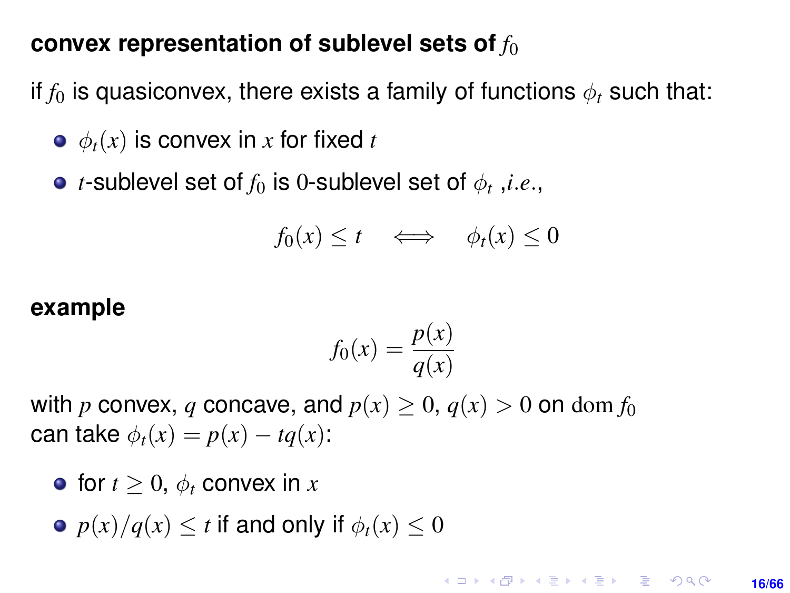#### **convex representation of sublevel sets of**  $f_0$

if  $f_0$  is quasiconvex, there exists a family of functions  $\phi_t$  such that:

- $\bullet$   $\phi_t(x)$  is convex in *x* for fixed *t*
- $t$ -sublevel set of  $f_0$  is  $0$ -sublevel set of  $\phi_t$  , $i.e.,$

$$
f_0(x) \le t \quad \Longleftrightarrow \quad \phi_t(x) \le 0
$$

#### **example**

$$
f_0(x) = \frac{p(x)}{q(x)}
$$

with *p* convex, *q* concave, and  $p(x) \geq 0$ ,  $q(x) > 0$  on dom  $f_0$ can take  $\phi_t(x) = p(x) - tq(x)$ :

- for  $t > 0$ ,  $\phi_t$  convex in x
- $p(x)/q(x) < t$  if and only if  $\phi_t(x) < 0$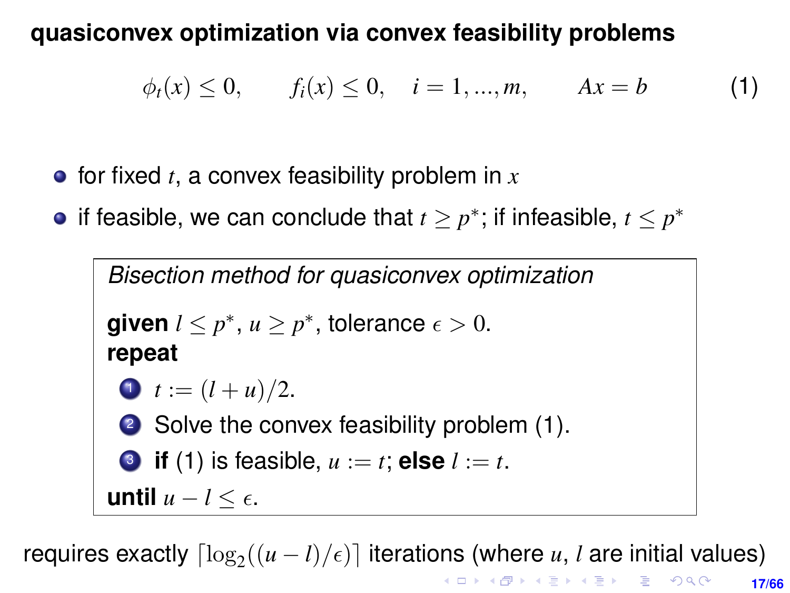#### **quasiconvex optimization via convex feasibility problems**

<span id="page-16-0"></span> $\phi_t(x) \leq 0, \quad f_i(x) \leq 0, \quad i = 1, ..., m, \quad Ax = b$  (1)

- $\bullet$  for fixed *t*, a convex feasibility problem in  $\mathbf{x}$
- if feasible, we can conclude that  $t \geq p^*$ ; if infeasible,  $t \leq p^*$

```
Bisection method for quasiconvex optimization
given l \leq p^*, u \geq p^*, tolerance \epsilon > 0.
repeat
 1 t := (l + u)/2.
 (1).
 3(1) is feasible, u := t; else l := t.
until u − l ≤ .
```
**17/66** requires exactly  $\lceil \log_2((u-l)/\epsilon) \rceil$  iterations (where *u*, *l* are initial values)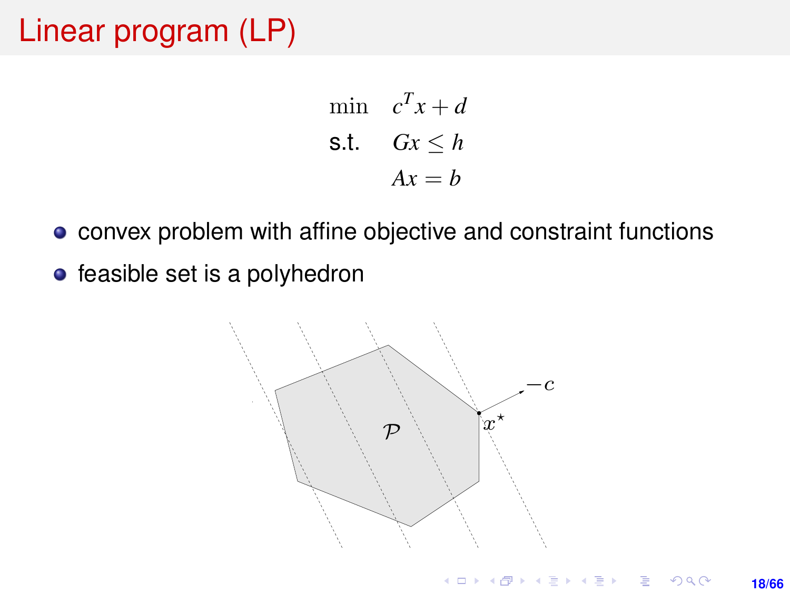## Linear program (LP)

$$
\begin{aligned}\n\min \quad & c^T x + d \\
\text{s.t.} \quad & Gx \le h \\
& Ax = b\n\end{aligned}
$$

- convex problem with affine objective and constraint functions convex problem with affine objective and constraint functions
- feasible set is a polyhedron feasible set is a polyhedron

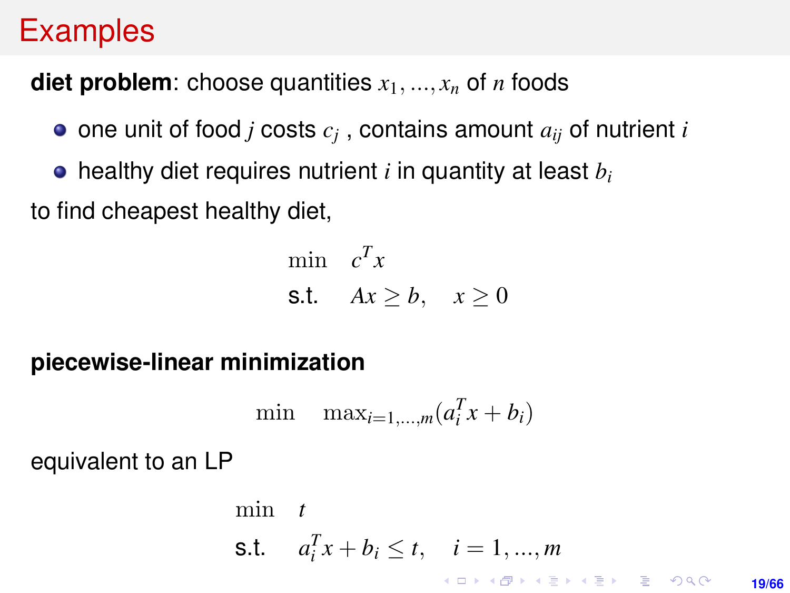## <span id="page-18-0"></span>**Examples**

#### **diet problem**: choose quantities  $x_1, ..., x_n$  of *n* foods

- one unit of food *j* costs *c<sup>j</sup>* , contains amount *aij* of nutrient *i*
- healthy diet requires nutrient *i* in quantity at least *b<sup>i</sup>*

to find cheapest healthy diet,

$$
\begin{array}{ll}\text{min} & c^T x\\ \text{s.t.} & Ax \geq b, \quad x \geq 0 \end{array}
$$

#### **piecewise-linear minimization**

$$
\min \quad \max_{i=1,\dots,m} (a_i^T x + b_i)
$$

equivalent to an LP

$$
\begin{array}{ll}\n\text{min} & t \\
\text{s.t.} & a_i^T x + b_i \le t, \quad i = 1, \dots, m \\
\text{s.t.} & \text{s.t.} \\
\text{min} & \text{s.t.} \\
\text{min} & \text{s.t.} \\
\text{min} & \text{s.t.} \\
\text{min} & \text{s.t.} \\
\text{min} & \text{s.t.} \\
\text{min} & \text{s.t.} \\
\text{min} & \text{s.t.} \\
\text{min} & \text{s.t.} \\
\text{min} & \text{s.t.} \\
\text{min} & \text{s.t.} \\
\text{min} & \text{s.t.} \\
\text{min} & \text{s.t.} \\
\text{min} & \text{s.t.} \\
\text{min} & \text{s.t.} \\
\text{min} & \text{s.t.} \\
\text{min} & \text{s.t.} \\
\text{min} & \text{s.t.} \\
\text{min} & \text{s.t.} \\
\text{min} & \text{s.t.} \\
\text{min} & \text{s.t.} \\
\text{min} & \text{s.t.} \\
\text{min} & \text{s.t.} \\
\text{min} & \text{s.t.} \\
\text{min} & \text{s.t.} \\
\text{min} & \text{s.t.} \\
\text{min} & \text{s.t.} \\
\text{min} & \text{s.t.} \\
\text{min} & \text{s.t.} \\
\text{min} & \text{s.t.} \\
\text{min} & \text{s.t.} \\
\text{min} & \text{s.t.} \\
\text{min} & \text{s.t.} \\
\text{min} & \text{s.t.} \\
\text{min} & \text{s.t.} \\
\text{min} & \text{s.t.} \\
\text{min} & \text{s.t.} \\
\text{min} & \text{s.t.} \\
\text{min} & \text{s.t.} \\
\text{min} & \text{s.t.} \\
\text{min} & \text{s.t.} \\
\text{min} & \text{s.t.} \\
\text{min} & \text{s.t.} \\
\text{min} & \text{s.t.} \\
\text{min} & \text{s.t.} \\
\text{min} & \text{s.t.} \\
\text{min} & \text{s.t.} \\
\text{
$$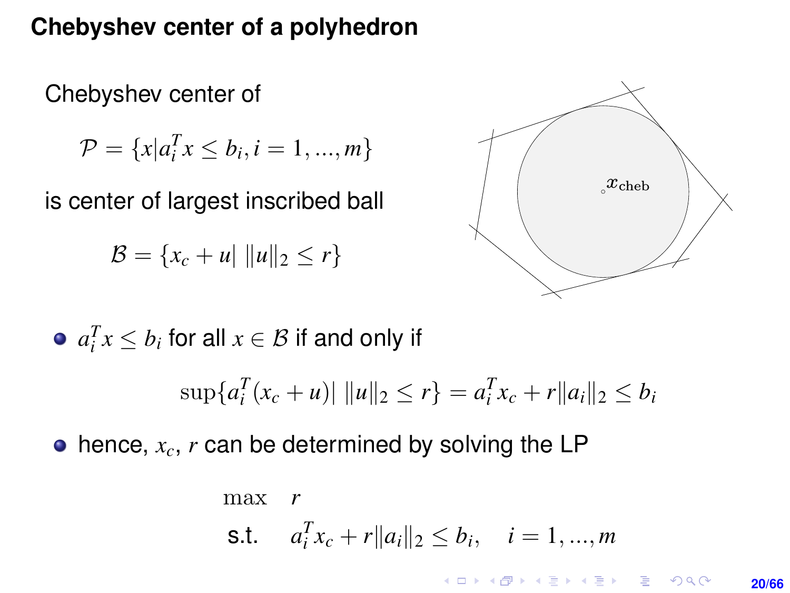#### **Chebyshev center of a polyhedron** Chebyshev center of a polyhedron

Chebyshev center of Chebyshev center of

$$
\mathcal{P} = \{x | a_i^T x \le b_i, i = 1, ..., m\}
$$

is center of largest inscribed ball is center of largest inscribed ball

$$
\mathcal{B} = \{x_c + u \mid ||u||_2 \le r\}
$$



 $\bullet$   $a_i^T x \leq b_i$  for all  $x \in \mathcal{B}$  if and only if  $\sup\{a_i^T(x_c+u)\|\|u\|_2\leq r\}=a_i^Tx_c+r\|a_i\|_2\leq b_i$ 

 $\bullet$  hence,  $x_c$ ,  $r$  can be determined by solving the LP

$$
\begin{array}{ll}\n\max \quad r \\
\text{s.t.} \quad a_i^T x_c + r \|a_i\|_2 \le b_i, \quad i = 1, ..., m \\
\end{array}
$$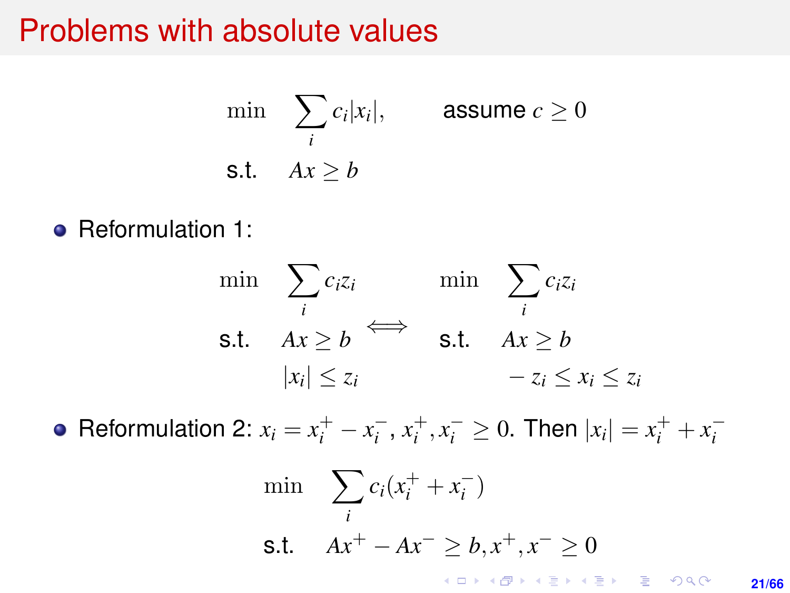#### Problems with absolute values

$$
\min \sum_{i} c_i |x_i|, \qquad \text{assume } c \ge 0
$$
  
s.t.  $Ax \ge b$ 

• Reformulation 1:

$$
\min \quad \sum_{i} c_i z_i \qquad \text{min} \quad \sum_{i} c_i z_i
$$
\n
$$
\text{s.t.} \quad Ax \ge b \qquad \text{s.t.} \quad Ax \ge b
$$
\n
$$
|x_i| \le z_i \qquad \qquad -z_i \le x_i \le z_i
$$

Reformulation 2:  $x_i = x_i^+ - x_i^-, x_i^+, x_i^- \ge 0$ . Then  $|x_i| = x_i^+ + x_i^-$ 

$$
\min \sum_{i} c_i (x_i^+ + x_i^-)
$$
\n
$$
\text{s.t.} \quad Ax^+ - Ax^- \geq b, x^+, x^- \geq 0
$$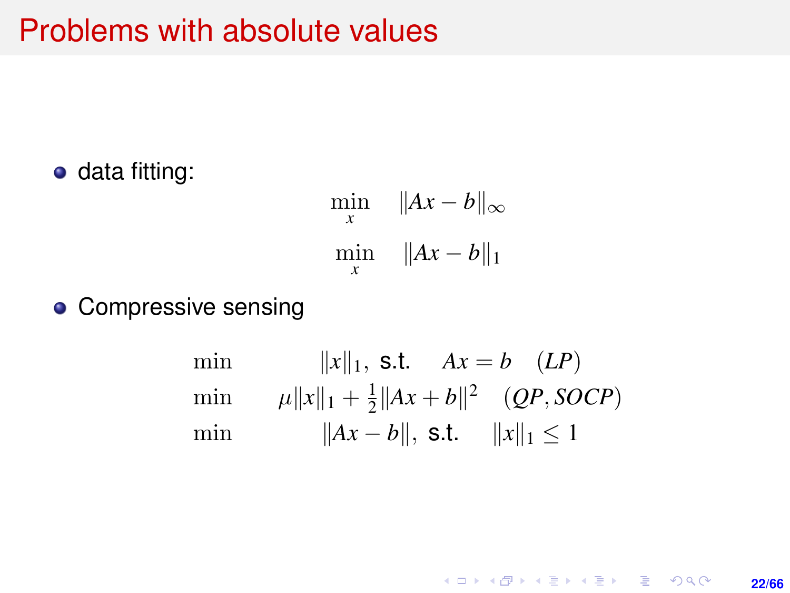#### <span id="page-21-0"></span>Problems with absolute values

• data fitting:

$$
\min_{x} \quad \|Ax - b\|_{\infty}
$$
  

$$
\min_{x} \quad \|Ax - b\|_{1}
$$

• Compressive sensing

min 
$$
||x||_1
$$
, s.t.  $Ax = b$  (LP)  
\nmin  $\mu ||x||_1 + \frac{1}{2} ||Ax + b||^2$  (QP, SOCP)  
\nmin  $||Ax - b||$ , s.t.  $||x||_1 \le 1$ 

**22/66**

K ロ ▶ K @ ▶ K 할 ▶ K 할 ▶ ... 할 → 9 Q @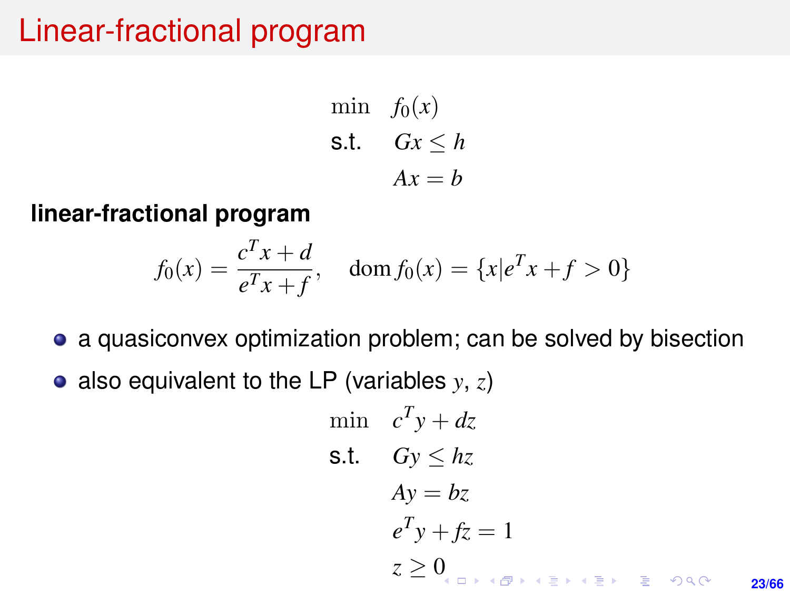## Linear-fractional program

$$
\begin{aligned}\n\min \quad & f_0(x) \\
\text{s.t.} \quad & Gx \le h \\
& Ax = b\n\end{aligned}
$$

**linear-fractional program**

$$
f_0(x) = \frac{c^T x + d}{e^T x + f}
$$
,  $\text{dom } f_0(x) = \{x | e^T x + f > 0\}$ 

- a quasiconvex optimization problem; can be solved by bisection
- also equivalent to the LP (variables  $y, z$ )

$$
\begin{array}{ll}\n\text{min} & c^T y + dz \\
\text{s.t.} & Gy \leq hz \\
& Ay = bz \\
& e^T y + fz = 1 \\
& z \geq 0 \\
& z \geq 0 \\
\end{array}
$$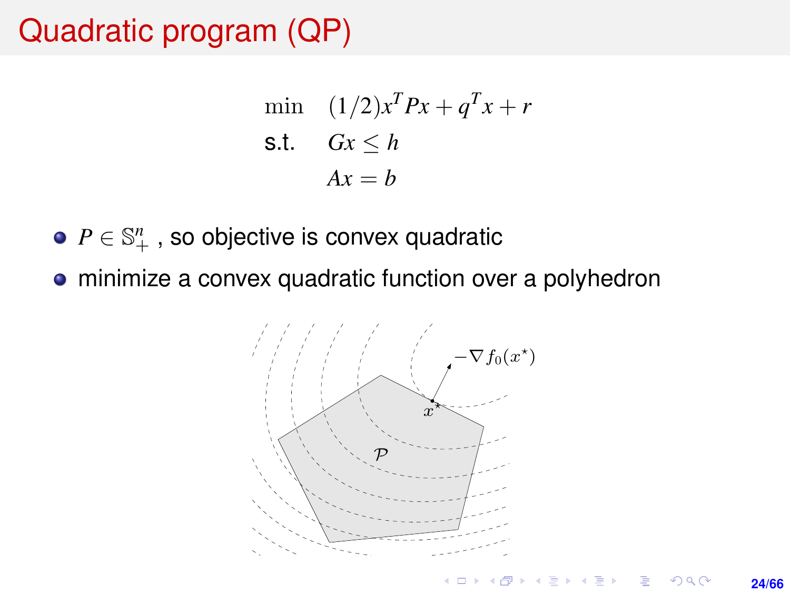## Quadratic program (QP)

$$
\begin{aligned}\n\text{min} \quad & (1/2)x^T P x + q^T x + r \\
\text{s.t.} \quad & Gx \le h \\
& Ax = b\n\end{aligned}
$$

- $P \in \mathbb{S}^n_+$  , so objective is convex quadratic
- minimize a convex quadratic function over a polyhedron • minimize a convex quadratic function over a polyhedron

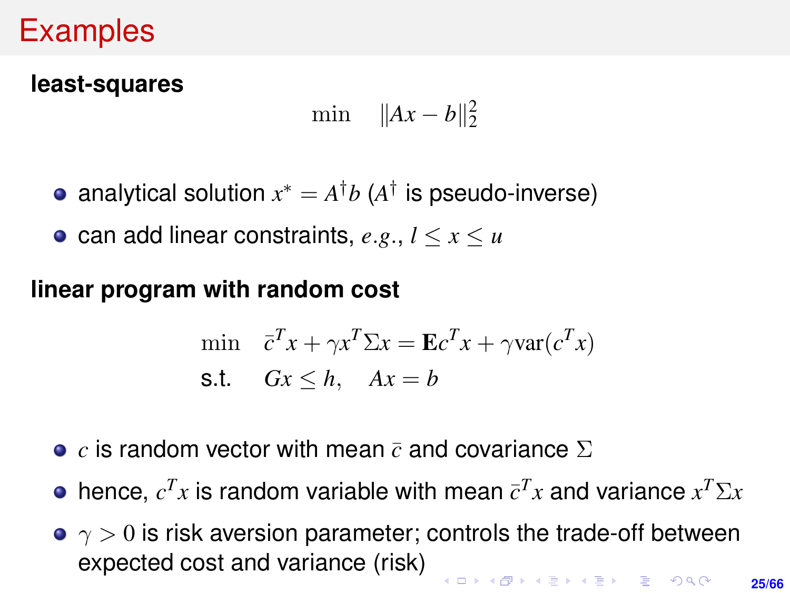## Examples

#### **least-squares**

$$
\min \quad \|Ax - b\|_2^2
$$

- analytical solution  $x^* = A^{\dagger}b$  ( $A^{\dagger}$  is pseudo-inverse)
- can add linear constraints,  $e.g., l \leq x \leq u$

#### **linear program with random cost**

$$
\begin{aligned}\n\min \quad & \bar{c}^T x + \gamma x^T \Sigma x = \mathbf{E} c^T x + \gamma \text{var}(c^T x) \\
\text{s.t.} \quad & Gx \le h, \quad Ax = b\n\end{aligned}
$$

- **•**  $c$  is random vector with mean  $\bar{c}$  and covariance  $\Sigma$
- hence,  $c^T x$  is random variable with mean  $\bar{c}^T x$  and variance  $x^T \Sigma x$
- $\gamma > 0$  is risk aversion parameter; controls the trade-off between expected cost and variance (risk)।<br>Internet (III) (III) III) (III)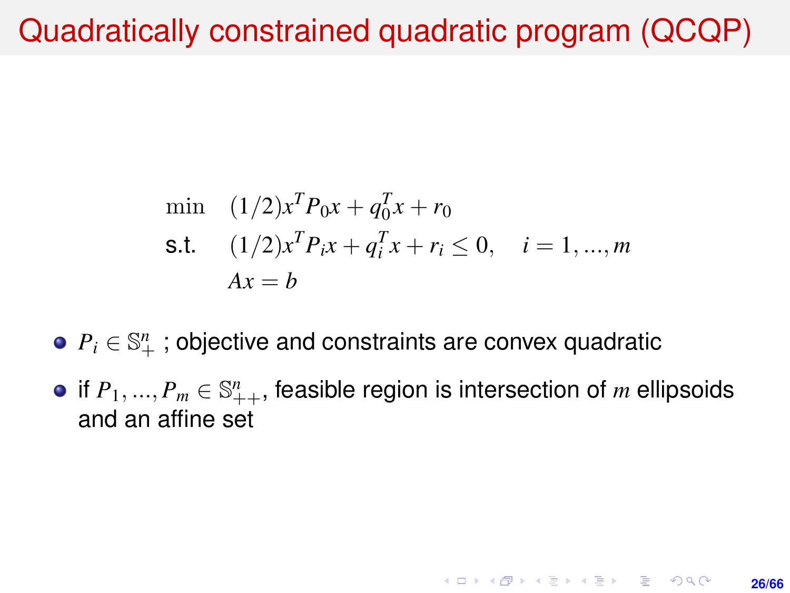## <span id="page-25-0"></span>Quadratically constrained quadratic program (QCQP)

min (1/2)
$$
x^T P_0 x + q_0^T x + r_0
$$
  
\n**s.t.** (1/2) $x^T P_i x + q_i^T x + r_i \le 0$ ,  $i = 1, ..., m$   
\n $Ax = b$ 

## $P_i \in \mathbb{S}^n_+$  ; objective and constraints are convex quadratic

if  $P_1, ..., P_m \in \mathbb{S}_{++}^n$ , feasible region is intersection of  $m$  ellipsoids and an affine set

**26/66**

**KORKARK A BIK BIKA A GA A GA A GA A BIKA A BIKA A BIKA A BIKA A BIKA A BIKA A BIKA A BIKA A BIKA A BIKA A BIKA**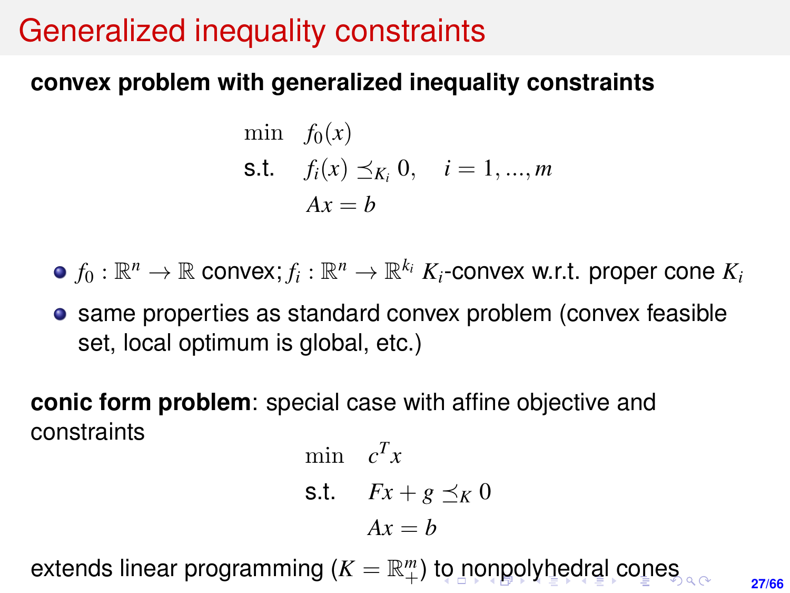## <span id="page-26-0"></span>Generalized inequality constraints

#### **convex problem with generalized inequality constraints**

min 
$$
f_0(x)
$$
  
\n**s.t.**  $f_i(x) \leq K_i, 0, \quad i = 1, ..., m$   
\n $Ax = b$ 

 $f_0: \mathbb{R}^n \rightarrow \mathbb{R}$  convex;  $f_i: \mathbb{R}^n \rightarrow \mathbb{R}^{k_i}$   $K_i$ -convex w.r.t. proper cone  $K_i$ 

**•** same properties as standard convex problem (convex feasible set, local optimum is global, etc.)

**conic form problem**: special case with affine objective and constraints

$$
\begin{aligned}\n\min \quad & c^T x \\
\text{s.t.} \quad & Fx + g \preceq_K 0 \\
& Ax = b\n\end{aligned}
$$

extends linear programming (*K* = R *m* +) [to](#page-25-0) [no](#page-27-0)[n](#page-25-0)[p](#page-26-0)[ol](#page-27-0)[yh](#page-0-0)[e](#page-65-0)[dra](#page-0-0)[l](#page-65-0) [co](#page-0-0)[nes](#page-65-0)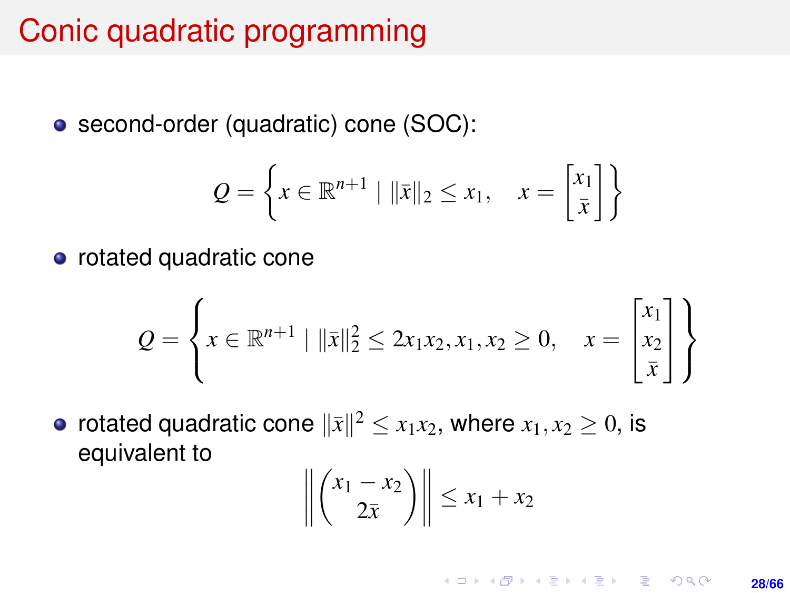## <span id="page-27-0"></span>Conic quadratic programming

second-order (quadratic) cone (SOC):

$$
Q = \left\{ x \in \mathbb{R}^{n+1} \mid ||\bar{x}||_2 \le x_1, \quad x = \begin{bmatrix} x_1 \\ \bar{x} \end{bmatrix} \right\}
$$

• rotated quadratic cone

$$
Q = \left\{ x \in \mathbb{R}^{n+1} \mid ||\bar{x}||_2^2 \le 2x_1x_2, x_1, x_2 \ge 0, \quad x = \begin{bmatrix} x_1 \\ x_2 \\ \bar{x} \end{bmatrix} \right\}
$$

rotated quadratic cone  $\|\bar{x}\|^2 \leq x_1x_2$ , where  $x_1, x_2 \geq 0$ , is equivalent to

$$
\left\| \binom{x_1 - x_2}{2\overline{x}} \right\| \leq x_1 + x_2
$$

**KORKARK KERKER DRAM 28/66**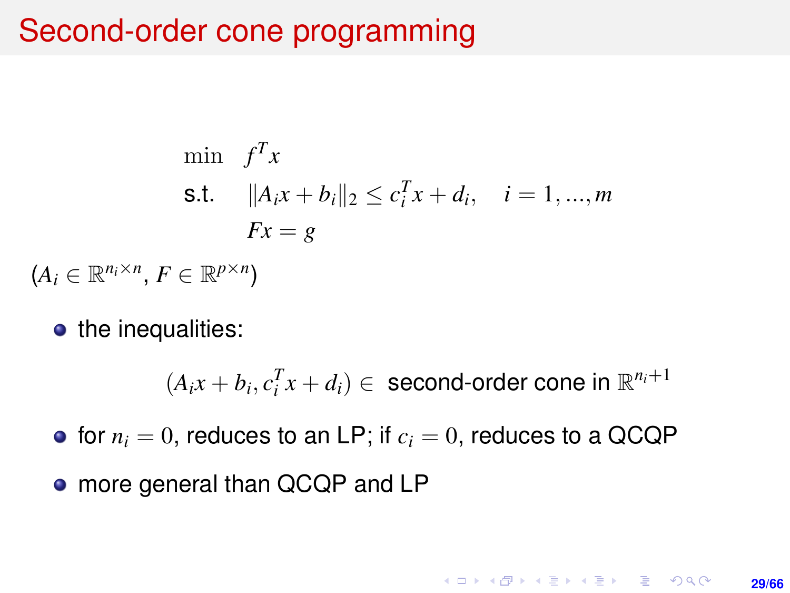## Second-order cone programming

$$
\min f^T x
$$
\n
$$
\text{s.t.} \quad \|A_i x + b_i\|_2 \le c_i^T x + d_i, \quad i = 1, ..., m
$$
\n
$$
Fx = g
$$

- $(A_i \in \mathbb{R}^{n_i \times n}, F \in \mathbb{R}^{p \times n})$ 
	- the inequalities:

 $(A_ix + b_i, c_i^T x + d_i) \in$  second-order cone in  $\mathbb{R}^{n_i+1}$ 

 $\bullet$  for  $n_i = 0$ , reduces to an LP; if  $c_i = 0$ , reduces to a QCQP

• more general than QCQP and LP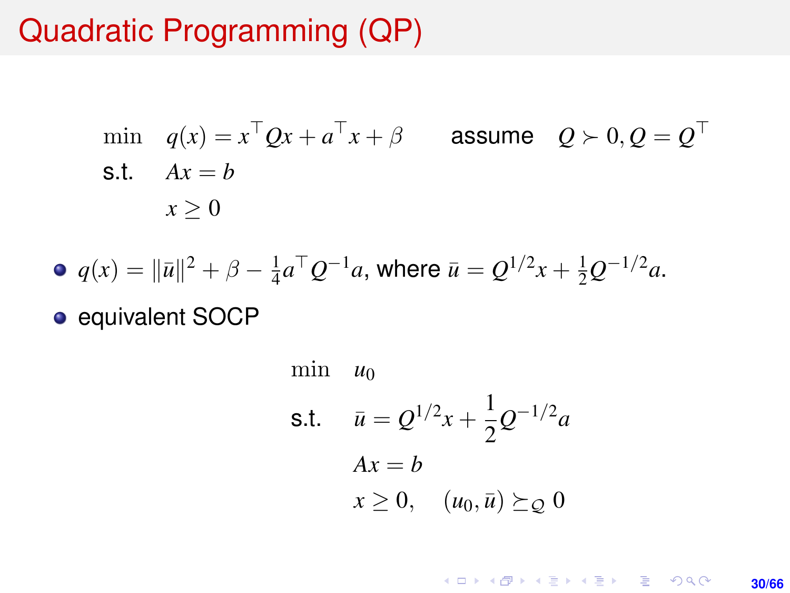## Quadratic Programming (QP)

min 
$$
q(x) = x^{\top}Qx + a^{\top}x + \beta
$$
 assume  $Q \succ 0, Q = Q^{\top}$   
s.t.  $Ax = b$   
 $x \ge 0$ 

• 
$$
q(x) = ||\bar{u}||^2 + \beta - \frac{1}{4}a^{\top}Q^{-1}a
$$
, where  $\bar{u} = Q^{1/2}x + \frac{1}{2}Q^{-1/2}a$ .

• equivalent SOCP

min 
$$
u_0
$$
  
\ns.t.  $\bar{u} = Q^{1/2}x + \frac{1}{2}Q^{-1/2}a$   
\n $Ax = b$   
\n $x \ge 0$ ,  $(u_0, \bar{u}) \succeq_Q 0$ 

K ロ X (日) X (日) X (日) X (日) X (日) X (日) X (日) X (日) X (日) X (日) X (日) **30/66**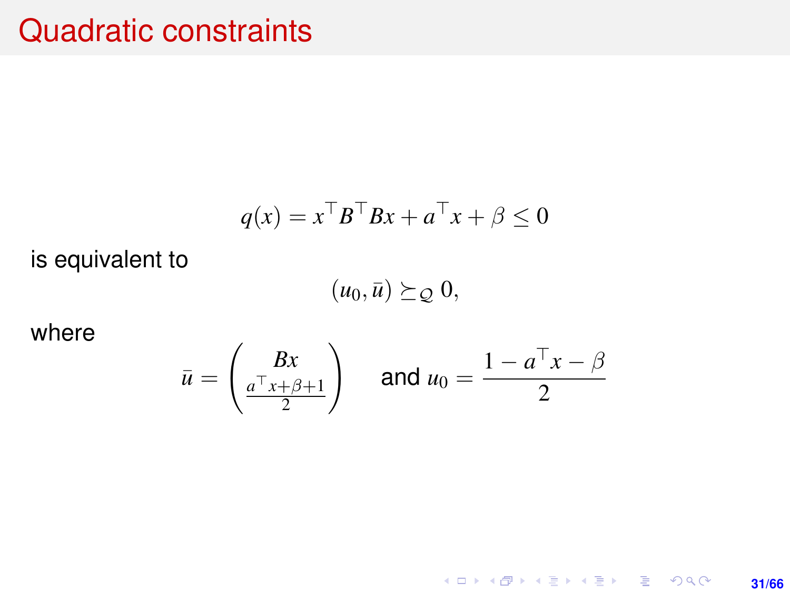#### Quadratic constraints

$$
q(x) = x^{\top}B^{\top}Bx + a^{\top}x + \beta \le 0
$$

is equivalent to

 $(u_0, \bar{u}) \succeq_{\mathcal{Q}} 0,$ 

where

$$
\bar{u} = \begin{pmatrix} Bx \\ \frac{a^{\top}x + \beta + 1}{2} \end{pmatrix} \quad \text{and } u_0 = \frac{1 - a^{\top}x - \beta}{2}
$$

K ロ X x (個) X x ミ X x ミ X = 3 → 5 × 0 × 0 × **31/66**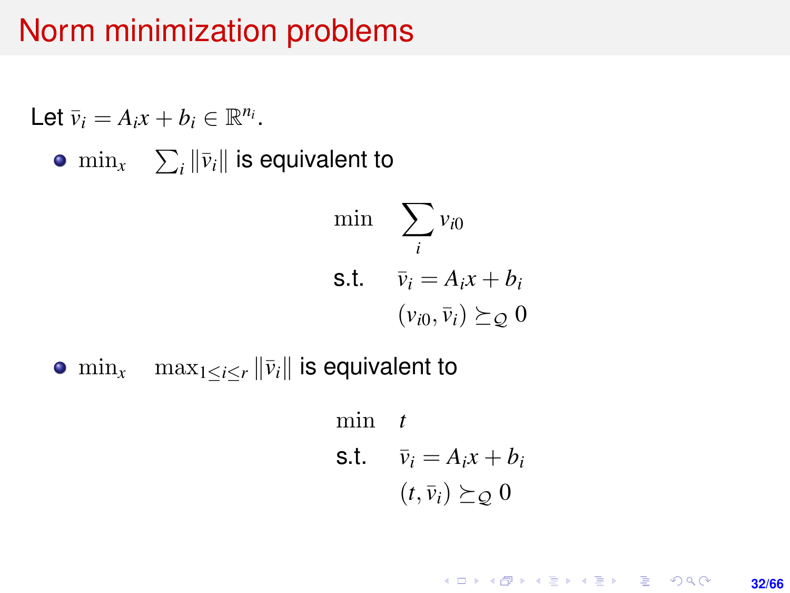#### Norm minimization problems

Let 
$$
\bar{v}_i = A_i x + b_i \in \mathbb{R}^{n_i}
$$
.  
\n•  $\min_x \sum_i ||\bar{v}_i||$  is equivalent to  
\n $\min_{i} \sum_i v_{i0}$   
\ns.t.  $\bar{v}_i = A_i x + b_i$   
\n $(v_{i0}, \bar{v}_i) \succeq_{\mathcal{Q}} 0$ 

•  $\min_{x}$   $\max_{1 \leq i \leq r} ||\bar{v}_i||$  is equivalent to

min *t* s.t.  $\bar{v}_i = A_i x + b_i$  $(t, \bar{v}_i) \succeq_{\mathcal{O}} 0$ 

> K ロ ▶ K @ ▶ K 할 ▶ K 할 ▶ ... 할 → 9 Q @ **32/66**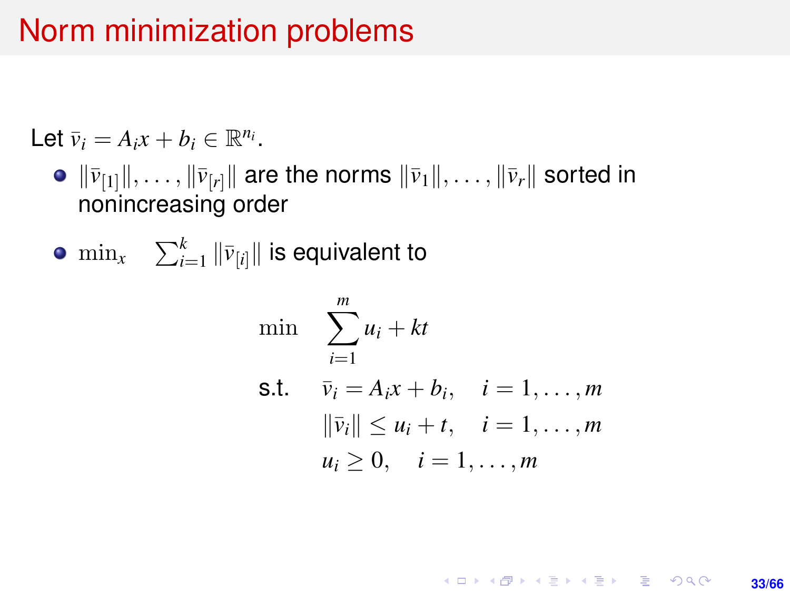## Norm minimization problems

Let  $\bar{v}_i = A_i x + b_i \in \mathbb{R}^{n_i}$ .

- $\bullet$   $\|\bar{v}_{[1]}\|, \ldots, \|\bar{v}_{[r]}\|$  are the norms  $\|\bar{v}_1\|, \ldots, \|\bar{v}_r\|$  sorted in nonincreasing order
- $\min_{x}$   $\sum_{i=1}^{k} \|\bar{v}_{[i]}\|$  is equivalent to

$$
\begin{aligned}\n\min \quad & \sum_{i=1}^{m} u_i + kt \\
\text{s.t.} \quad & \bar{v}_i = A_i x + b_i, \quad i = 1, \dots, m \\
& \|\bar{v}_i\| \le u_i + t, \quad i = 1, \dots, m \\
& u_i \ge 0, \quad i = 1, \dots, m\n\end{aligned}
$$

**KORKARK KERKER DRAM 33/66**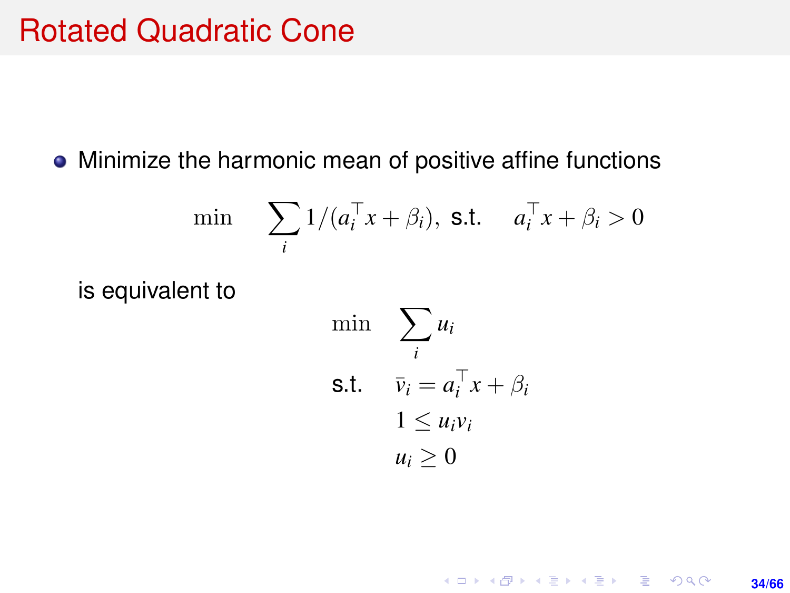#### Rotated Quadratic Cone

#### • Minimize the harmonic mean of positive affine functions

$$
\min \sum_{i} 1/(a_i^{\top} x + \beta_i), \text{ s.t. } a_i^{\top} x + \beta_i > 0
$$

is equivalent to

$$
\begin{aligned}\n\min \quad & \sum_{i} u_i \\
\text{s.t.} \quad & \bar{v}_i = a_i^\top x + \beta_i \\
& 1 \le u_i v_i \\
& u_i \ge 0\n\end{aligned}
$$

#### K ロ ▶ K @ ▶ K 할 ▶ K 할 ▶ 이 할 → 9 Q @ **34/66**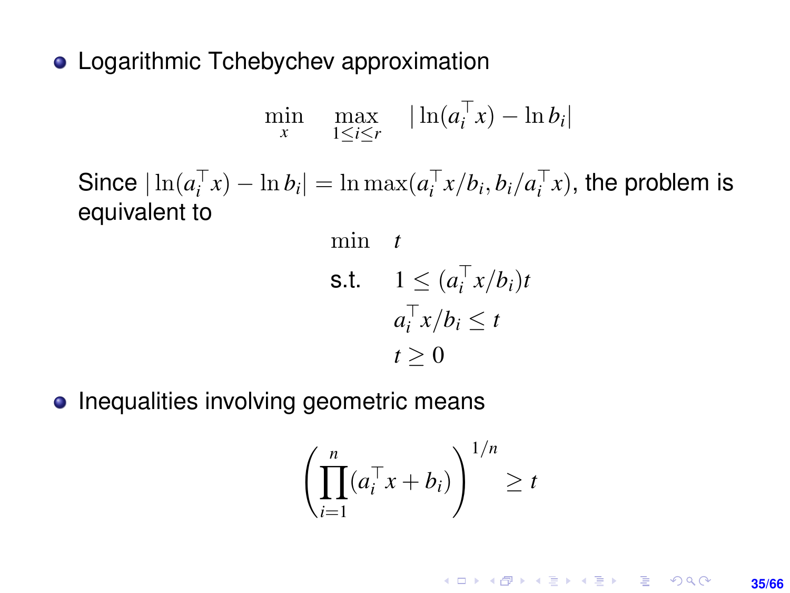• Logarithmic Tchebychev approximation

$$
\min_{x} \quad \max_{1 \leq i \leq r} \quad |\ln(a_i^\top x) - \ln b_i|
$$

Since  $|\ln(a_i^{\top} x) - \ln b_i| = \ln \max(a_i^{\top} x/b_i, b_i/a_i^{\top} x)$ , the problem is equivalent to

min t  
\ns.t. 
$$
1 \leq (a_i^\top x/b_i)t
$$
  
\n $a_i^\top x/b_i \leq t$   
\n $t \geq 0$ 

• Inequalities involving geometric means

$$
\left(\prod_{i=1}^n (a_i^\top x + b_i)\right)^{1/n} \ge t
$$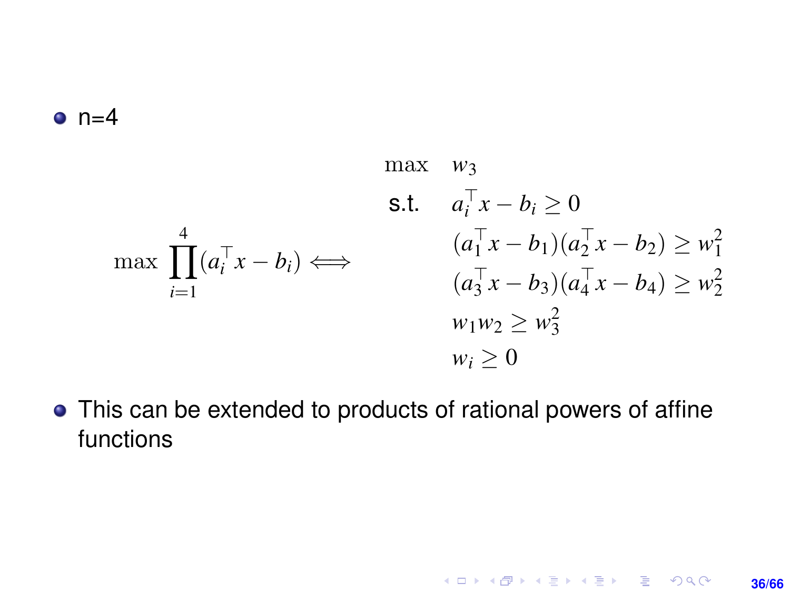#### <span id="page-35-0"></span> $n=4$

$$
\max \quad w_3
$$
\n
$$
\text{s.t.} \quad a_i^{\top} x - b_i \ge 0
$$
\n
$$
\max \prod_{i=1}^4 (a_i^{\top} x - b_i) \Longleftrightarrow \qquad \begin{array}{c} (a_1^{\top} x - b_1)(a_2^{\top} x - b_2) \ge w_1^2 \\ (a_3^{\top} x - b_3)(a_4^{\top} x - b_4) \ge w_2^2 \\ w_1 w_2 \ge w_3^2 \\ w_i \ge 0 \end{array}
$$

This can be extended to products of rational powers of affine functions

**36/66**

K ロ ▶ K @ ▶ K 할 ▶ K 할 ▶ ... 할 → 9 Q @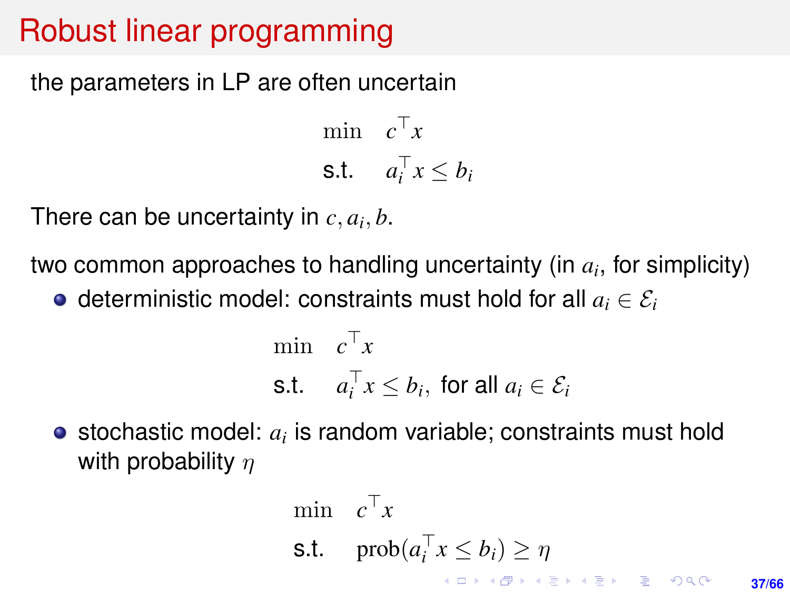## <span id="page-36-0"></span>Robust linear programming

the parameters in LP are often uncertain

min  $c^{\top}x$ s.t.  $a_i^\top x \leq b_i$ 

There can be uncertainty in  $c, a_i, b$ .

two common approaches to handling uncertainty (in *a<sup>i</sup>* , for simplicity)

 $\bullet$  deterministic model: constraints must hold for all  $a_i \in \mathcal{E}_i$ 

$$
\begin{aligned}\n\min \quad & c^\top x \\
\text{s.t.} \quad & a_i^\top x \le b_i, \text{ for all } a_i \in \mathcal{E}_i\n\end{aligned}
$$

stochastic model: *a<sup>i</sup>* is random variable; constraints must hold with probability  $n$ 

$$
\begin{array}{ll}\n\min & c^{\top}x \\
\text{s.t.} & \text{prob}(a_i^{\top}x \le b_i) \ge \eta \\
\end{array}
$$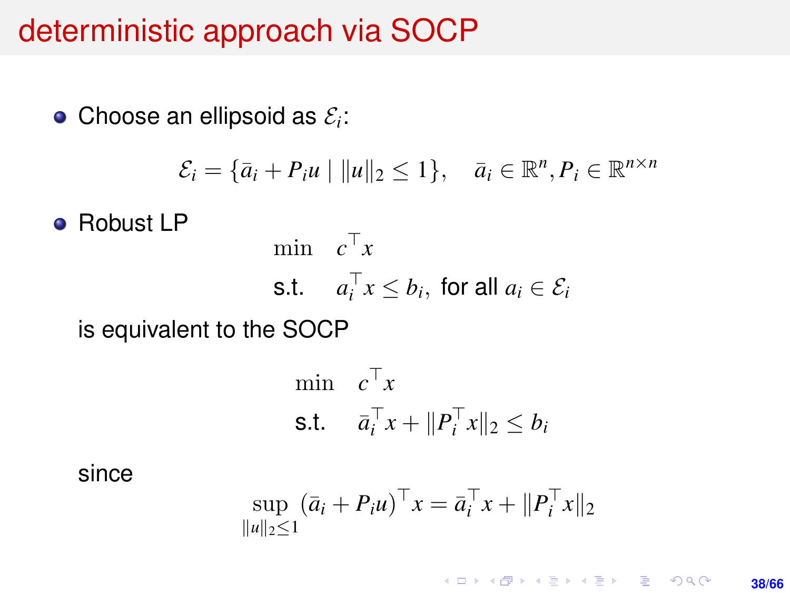#### <span id="page-37-0"></span>deterministic approach via SOCP

Choose an ellipsoid as  $\mathcal{E}_i$ :

$$
\mathcal{E}_i = \{\bar{a}_i + P_i u \mid ||u||_2 \le 1\}, \quad \bar{a}_i \in \mathbb{R}^n, P_i \in \mathbb{R}^{n \times n}
$$

**e** Robust LP

$$
\begin{aligned}\n\min \quad & c^{\top} x \\
\text{s.t.} \quad & a_i^{\top} x \le b_i, \text{ for all } a_i \in \mathcal{E}_i\n\end{aligned}
$$

is equivalent to the SOCP

$$
\begin{aligned}\n\min \quad & c^\top x \\
\text{s.t.} \quad & \bar{a}_i^\top x + \|P_i^\top x\|_2 \le b_i\n\end{aligned}
$$

since

$$
\sup_{\|u\|_2\leq 1} (\bar{a}_i + P_i u)^{\top} x = \bar{a}_i^{\top} x + \|P_i^{\top} x\|_2
$$

K ロ ▶ K @ ▶ K 할 ▶ K 할 ▶ ... 할 → 9 Q @ **38/66**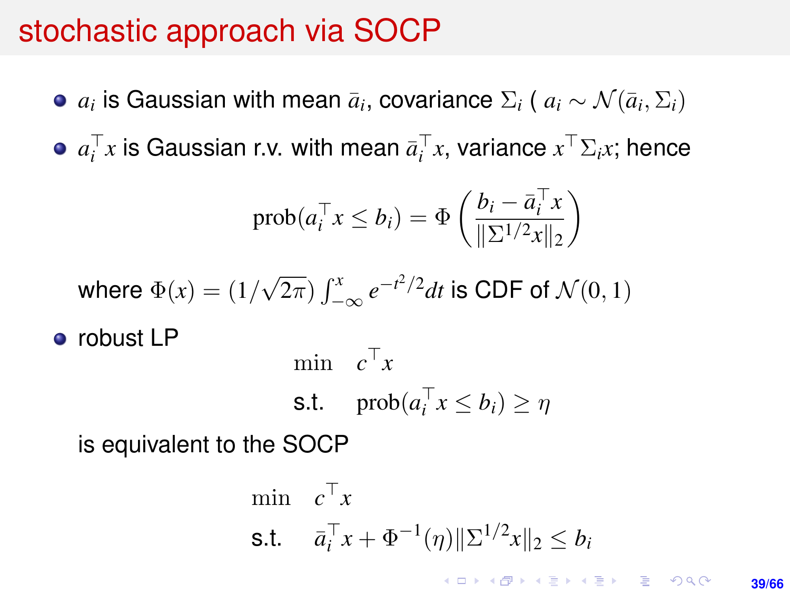## stochastic approach via SOCP

- $a_i$  is Gaussian with mean  $\bar{a}_i$ , covariance  $\Sigma_i$  (  $a_i \sim \mathcal{N}(\bar{a}_i, \Sigma_i)$
- $a_i^\top x$  is Gaussian r.v. with mean  $\bar{a}_i^\top x$ , variance  $x^\top \Sigma_i x$ ; hence

$$
\text{prob}(a_i^\top x \le b_i) = \Phi\left(\frac{b_i - \bar{a}_i^\top x}{\|\Sigma^{1/2} x\|_2}\right)
$$

where 
$$
\Phi(x) = (1/\sqrt{2\pi}) \int_{-\infty}^{x} e^{-t^2/2} dt
$$
 is CDF of  $\mathcal{N}(0, 1)$ 

• robust LP

$$
\begin{aligned}\n\min \quad & c^\top x \\
\text{s.t.} \quad & \text{prob}(a_i^\top x \le b_i) \ge \eta\n\end{aligned}
$$

is equivalent to the SOCP

$$
\begin{aligned}\n\min \quad & c^\top x \\
\text{s.t.} \quad & \bar{a}_i^\top x + \Phi^{-1}(\eta) \|\Sigma^{1/2} x\|_2 \le b_i \\
& \text{for all } x \in \mathbb{R} \text{ and } \bar{a} \in \mathbb{R} \text{ and } \bar{a} \in \mathbb{R} \text{ and } \bar{a} \in \mathbb{R} \text{ and } \bar{a} \in \mathbb{R} \text{ and } \bar{a} \in \mathbb{R} \text{ and } \bar{a} \in \mathbb{R} \text{ and } \bar{a} \in \mathbb{R} \text{ and } \bar{a} \in \mathbb{R} \text{ and } \bar{a} \in \mathbb{R} \text{ and } \bar{a} \in \mathbb{R} \text{ and } \bar{a} \in \mathbb{R} \text{ and } \bar{a} \in \mathbb{R} \text{ and } \bar{a} \in \mathbb{R} \text{ and } \bar{a} \in \mathbb{R} \text{ and } \bar{a} \in \mathbb{R} \text{ and } \bar{a} \in \mathbb{R} \text{ and } \bar{a} \in \mathbb{R} \text{ and } \bar{a} \in \mathbb{R} \text{ and } \bar{a} \in \mathbb{R} \text{ and } \bar{a} \in \mathbb{R} \text{ and } \bar{a} \in \mathbb{R} \text{ and } \bar{a} \in \mathbb{R} \text{ and } \bar{a} \in \mathbb{R} \text{ and } \bar{a} \in \mathbb{R} \text{ and } \bar{a} \in \mathbb{R} \text{ and } \bar{a} \in \mathbb{R} \text{ and } \bar{a} \in \mathbb{R} \text{ and } \bar{a} \in \mathbb{R} \text{ and } \bar{a} \in \mathbb{R} \text{ and } \bar{a} \in \mathbb{R} \text{ and } \bar{a} \in \mathbb{R} \text{ and } \bar{a} \in \mathbb{R} \text{ and } \bar{a} \in \mathbb{R} \text{ and } \bar{a} \in \mathbb{R} \text{ and } \bar{a} \in \mathbb{R} \text{ and } \bar{a} \in \mathbb{R} \text{ and } \bar{a} \in \mathbb{R} \text{ and } \bar{a} \in
$$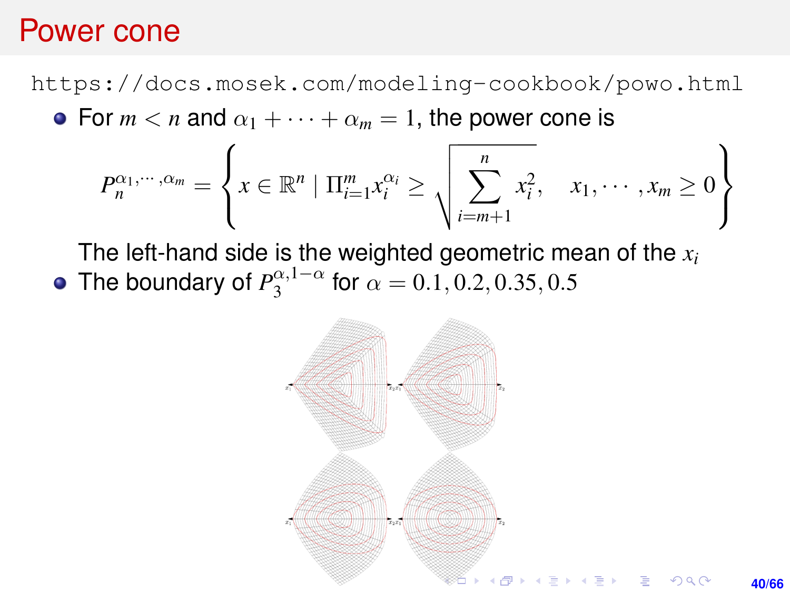#### Power cone

<https://docs.mosek.com/modeling-cookbook/powo.html> • For  $m < n$  and  $\alpha_1 + \cdots + \alpha_m = 1$ , the power cone is

$$
P_n^{\alpha_1,\cdots,\alpha_m} = \left\{ x \in \mathbb{R}^n \mid \Pi_{i=1}^m x_i^{\alpha_i} \ge \sqrt{\sum_{i=m+1}^n x_i^2}, \quad x_1, \cdots, x_m \ge 0 \right\}
$$

The left-hand side is the weighted geometric mean of the *x<sup>i</sup>* The boundary of  $P_3^{\alpha,1-\alpha}$  $a^{(0)}_3$  for  $\alpha = 0.1, 0.2, 0.35, 0.5$ 

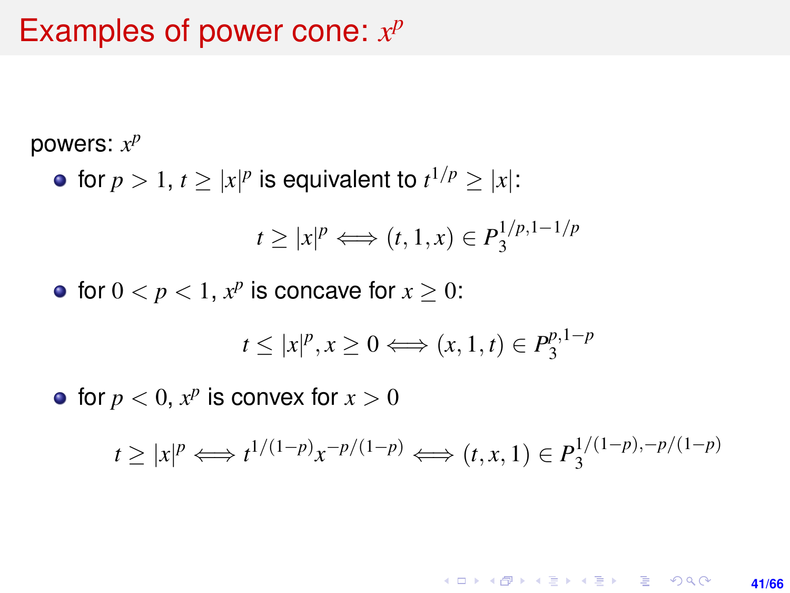## Examples of power cone:  $x^p$

powers: *x p*

for  $p > 1$ ,  $t \ge |x|^p$  is equivalent to  $t^{1/p} \ge |x|$ :

$$
t \ge |x|^p \Longleftrightarrow (t, 1, x) \in P_3^{1/p, 1-1/p}
$$

for  $0 < p < 1$ ,  $x^p$  is concave for  $x \ge 0$ :

$$
t \le |x|^p, x \ge 0 \Longleftrightarrow (x, 1, t) \in P_3^{p, 1-p}
$$

for  $p < 0$ ,  $x^p$  is convex for  $x > 0$ 

$$
t \ge |x|^p \Longleftrightarrow t^{1/(1-p)} x^{-p/(1-p)} \Longleftrightarrow (t, x, 1) \in P_3^{1/(1-p), -p/(1-p)}
$$

#### KORK ERKER ERKER **41/66**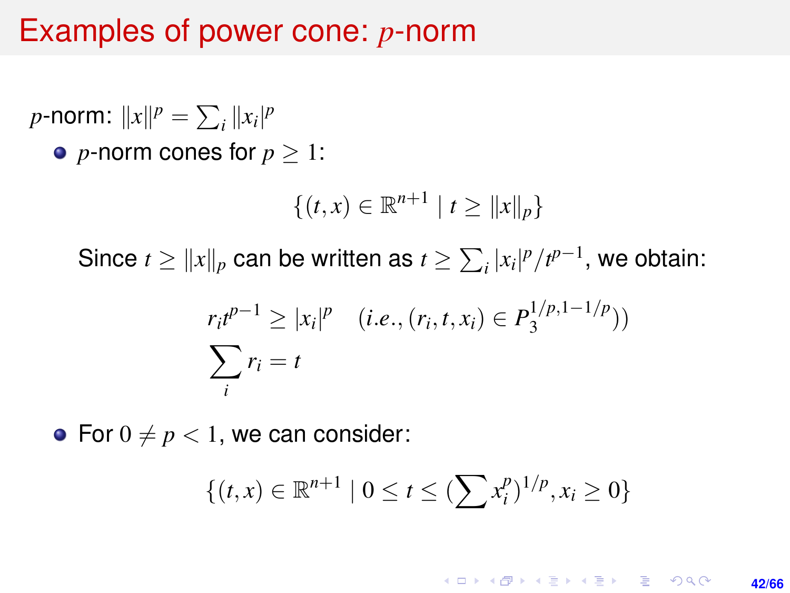#### Examples of power cone: *p*-norm

*p*-norm:  $||x||^p = \sum_i ||x_i|^p$ • *p*-norm cones for  $p > 1$ :

$$
\{(t,x)\in\mathbb{R}^{n+1}\mid t\geq||x||_p\}
$$

Since  $t \ge ||x||_p$  can be written as  $t \ge \sum_i |x_i|^p / t^{p-1}$ , we obtain:

$$
r_i t^{p-1} \ge |x_i|^p \quad (i.e., (r_i, t, x_i) \in P_3^{1/p, 1-1/p}))
$$

$$
\sum_i r_i = t
$$

• For  $0 \neq p < 1$ , we can consider:

$$
\{(t,x)\in\mathbb{R}^{n+1} \mid 0\leq t\leq (\sum x_i^p)^{1/p}, x_i\geq 0\}
$$

KO KARK KEK LE KORA **42/66**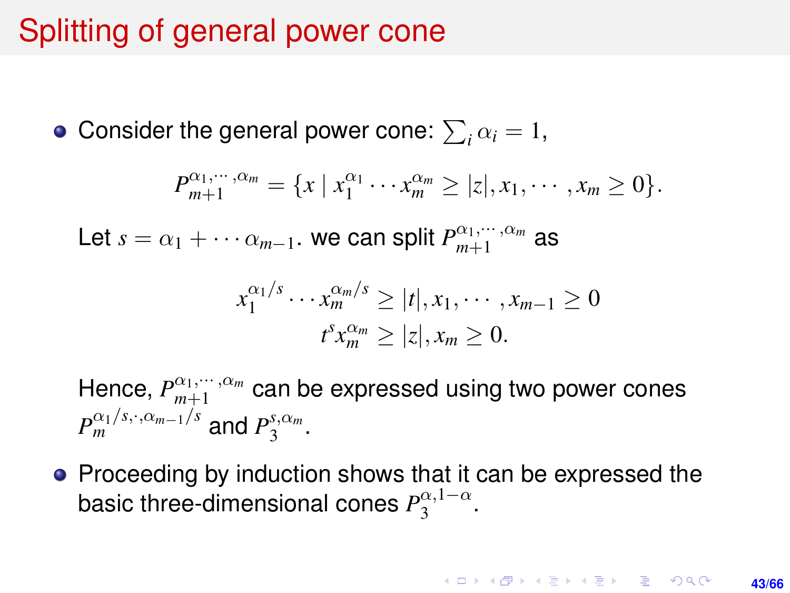## Splitting of general power cone

Consider the general power cone:  $\sum_i \alpha_i = 1$ ,

$$
P_{m+1}^{\alpha_1,\cdots,\alpha_m} = \{x \mid x_1^{\alpha_1}\cdots x_m^{\alpha_m} \geq |z|, x_1,\cdots,x_m \geq 0\}.
$$

Let  $s = \alpha_1 + \cdots + \alpha_{m-1}$ . we can split  $P_{m+1}^{\alpha_1, \cdots, \alpha_m}$  as

$$
x_1^{\alpha_1/s} \cdots x_m^{\alpha_m/s} \ge |t|, x_1, \cdots, x_{m-1} \ge 0
$$
  

$$
t^s x_m^{\alpha_m} \ge |z|, x_m \ge 0.
$$

Hence,  $P_{m+1}^{\alpha_1,\cdots,\alpha_m}$  can be expressed using two power cones  $P_m^{\alpha_1/s,\cdot,\alpha_{m-1}/s}$  and  $P_3^{s,\alpha_m}$  $3^{5,\alpha_m}$ .

• Proceeding by induction shows that it can be expressed the **basic three-dimensional cones**  $P_3^{\alpha,1-\alpha}$  $\frac{\alpha, 1-\alpha}{3}$ .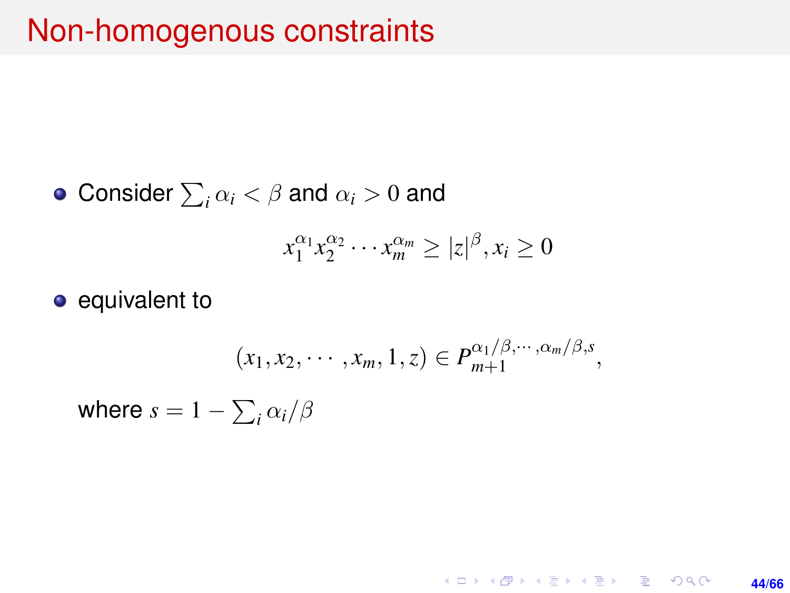## Non-homogenous constraints

• Consider 
$$
\sum_i \alpha_i < \beta
$$
 and  $\alpha_i > 0$  and

$$
x_1^{\alpha_1} x_2^{\alpha_2} \cdots x_m^{\alpha_m} \ge |z|^{\beta}, x_i \ge 0
$$

• equivalent to

$$
(x_1, x_2, \cdots, x_m, 1, z) \in P_{m+1}^{\alpha_1/\beta, \cdots, \alpha_m/\beta, s},
$$

where  $s = 1 - \sum_i \alpha_i / \beta$ 

K ロ ▶ K @ ▶ K 할 ▶ K 할 ▶ 이 할 → 9 Q @ **44/66**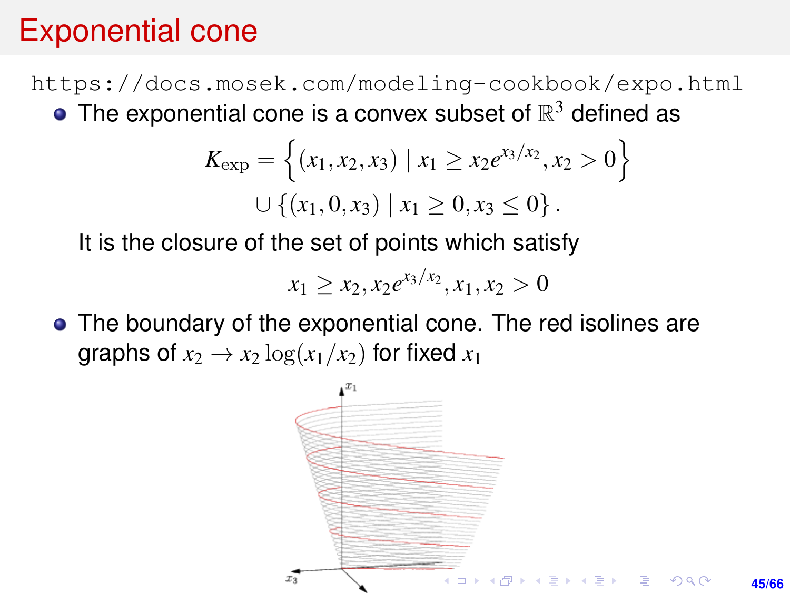## Exponential cone

<https://docs.mosek.com/modeling-cookbook/expo.html> The exponential cone is a convex subset of  $\mathbb{R}^3$  defined as

$$
K_{\exp} = \left\{ (x_1, x_2, x_3) \mid x_1 \ge x_2 e^{x_3/x_2}, x_2 > 0 \right\}
$$
  

$$
\cup \left\{ (x_1, 0, x_3) \mid x_1 \ge 0, x_3 \le 0 \right\}.
$$

It is the closure of the set of points which satisfy

$$
x_1 \ge x_2, x_2 e^{x_3/x_2}, x_1, x_2 > 0
$$

The boundary of the exponential cone. The red isolines are graphs of  $x_2 \rightarrow x_2 \log(x_1/x_2)$  for fixed  $x_1$ 

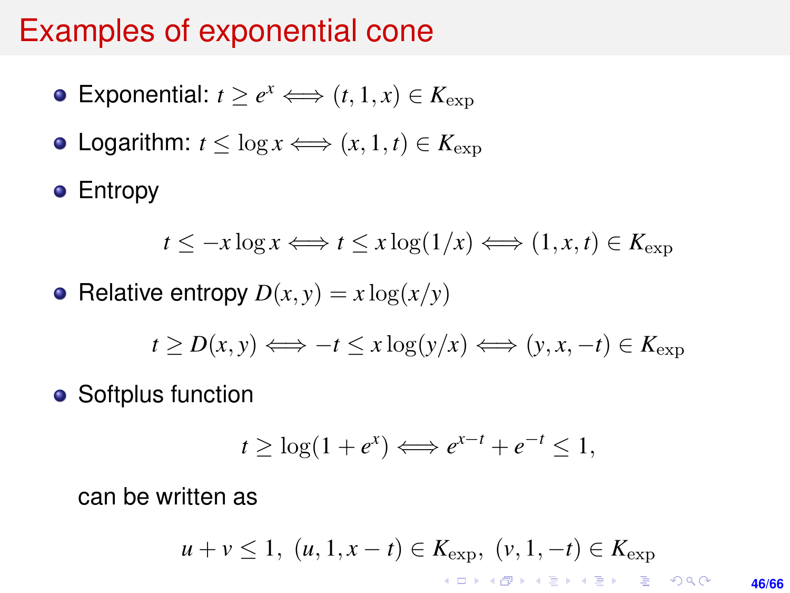#### Examples of exponential cone

- Exponential:  $t \ge e^x \Longleftrightarrow (t, 1, x) \in K_{\exp}$
- Logarithm:  $t < \log x \Longleftrightarrow (x, 1, t) \in K_{\text{exp}}$

**•** Entropy

$$
t \leq -x \log x \Longleftrightarrow t \leq x \log(1/x) \Longleftrightarrow (1, x, t) \in K_{\exp}
$$

• Relative entropy  $D(x, y) = x \log(x/y)$ 

$$
t \ge D(x, y) \Longleftrightarrow -t \le x \log(y/x) \Longleftrightarrow (y, x, -t) \in K_{\exp}
$$

• Softplus function

$$
t \geq \log(1 + e^x) \Longleftrightarrow e^{x-t} + e^{-t} \leq 1,
$$

can be written as

$$
u+v\leq 1,\,\,(u,1,x-t)\in K_{\mathrm{exp}},\,\,(\nu,1,-t)\in K_{\mathrm{exp}}
$$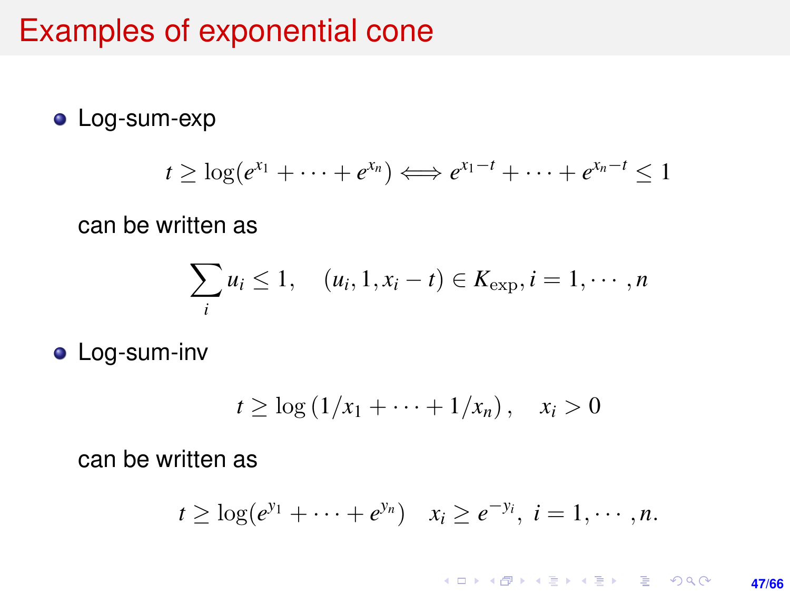#### Examples of exponential cone

#### **•** Log-sum-exp

$$
t \geq \log(e^{x_1} + \cdots + e^{x_n}) \Longleftrightarrow e^{x_1-t} + \cdots + e^{x_n-t} \leq 1
$$

can be written as

$$
\sum_{i} u_i \leq 1, \quad (u_i, 1, x_i - t) \in K_{\exp}, i = 1, \cdots, n
$$

**•** Log-sum-inv

$$
t \geq \log\left(1/x_1 + \cdots + 1/x_n\right), \quad x_i > 0
$$

can be written as

$$
t \geq \log(e^{y_1} + \cdots + e^{y_n})
$$
  $x_i \geq e^{-y_i}$ ,  $i = 1, \cdots, n$ .

#### K ロ ▶ K @ ▶ K 할 ▶ K 할 ▶ ... 할 → 9 Q @ **47/66**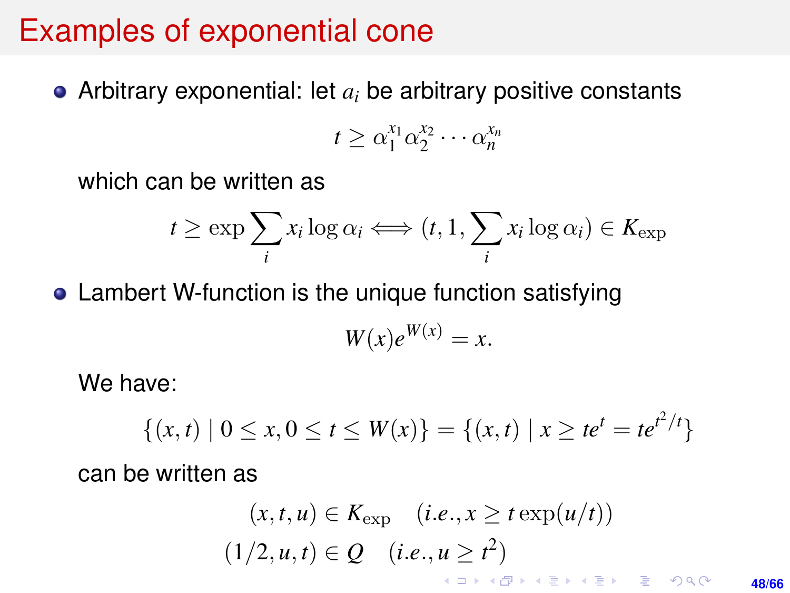#### Examples of exponential cone

• Arbitrary exponential: let  $a_i$  be arbitrary positive constants

$$
t \geq \alpha_1^{x_1} \alpha_2^{x_2} \cdots \alpha_n^{x_n}
$$

which can be written as

$$
t \ge \exp \sum_{i} x_i \log \alpha_i \Longleftrightarrow (t, 1, \sum_{i} x_i \log \alpha_i) \in K_{\exp}
$$

• Lambert W-function is the unique function satisfying

$$
W(x)e^{W(x)} = x.
$$

We have:

$$
\{(x,t) \mid 0 \le x, 0 \le t \le W(x)\} = \{(x,t) \mid x \ge te^t = te^{t^2/t}\}
$$

can be written as

$$
(x, t, u) \in K_{\exp} \quad (i.e., x \geq t \exp(u/t))
$$

$$
(1/2, u, t) \in Q \quad (i.e., u \geq t^2)
$$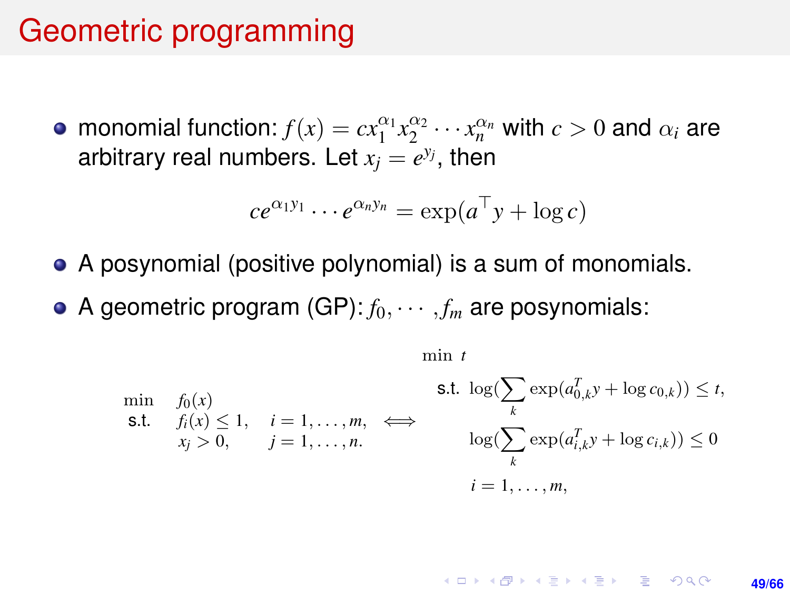#### <span id="page-48-0"></span>Geometric programming

monomial function:  $f(x) = cx_1^{\alpha_1}x_2^{\alpha_2}\cdots x_n^{\alpha_n}$  with  $c > 0$  and  $\alpha_i$  are arbitrary real numbers. Let  $x_j = e^{y_j}$ , then

$$
ce^{\alpha_1y_1}\cdots e^{\alpha_ny_n}=\exp(a^\top y+\log c)
$$

- A posynomial (positive polynomial) is a sum of monomials.
- A geometric program  $(GP): f_0, \cdots, f_m$  are posynomials:

$$
\min_{\begin{array}{l}\n\text{min} \quad f_0(x) \\
\text{s.t.} \quad f_i(x) \le 1, \quad i = 1, \dots, m, \\
x_j > 0, \quad j = 1, \dots, n.\n\end{array}\n\quad\n\Longleftrightarrow\n\begin{array}{l}\n\text{s.t. } \log(\sum_k \exp(a_{0,k}^T y) + \log c_{0,k})) \le t, \\
\log(\sum_k \exp(a_{i,k}^T y) + \log c_{i,k})) \le 0 \\
\log(\sum_k \exp(a_{i,k}^T y) + \log c_{i,k})) \le 0\n\end{array}
$$

min *t*

#### **KORKARK KERKER DRAM 49/66**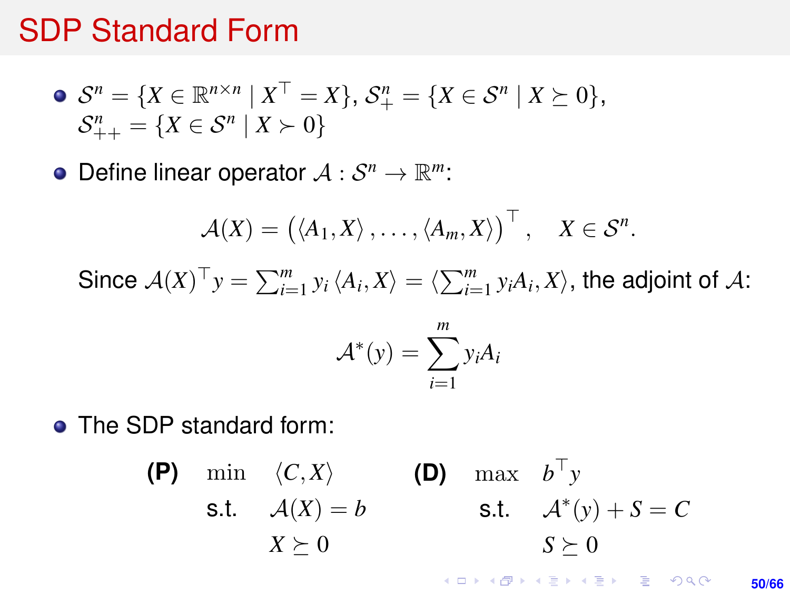#### <span id="page-49-0"></span>SDP Standard Form

• 
$$
S^n = \{X \in \mathbb{R}^{n \times n} | X^{\top} = X\}, S^n_+ = \{X \in S^n | X \succeq 0\}, S^n_{++} = \{X \in S^n | X \succ 0\}
$$

Define linear operator  $A: \mathcal{S}^n \to \mathbb{R}^m$ :

$$
\mathcal{A}(X) = (\langle A_1, X \rangle, \ldots, \langle A_m, X \rangle)^{\top}, \quad X \in \mathcal{S}^n.
$$

Since  $\mathcal{A}(X)^\top y = \sum_{i=1}^m y_i \langle A_i, X \rangle = \langle \sum_{i=1}^m y_i A_i, X \rangle$ , the adjoint of  $\mathcal{A}$ :

$$
\mathcal{A}^*(y) = \sum_{i=1}^m y_i A_i
$$

**• The SDP standard form:** 

(P) min 
$$
\langle C, X \rangle
$$
  
\ns.t.  $A(X) = b$   
\n $X \succeq 0$   
\n(D) max  $b^{\top} y$   
\ns.t.  $A^*(y) + S = C$   
\n $S \succeq 0$ 

**KORKARK KERKER DRAM 50/66**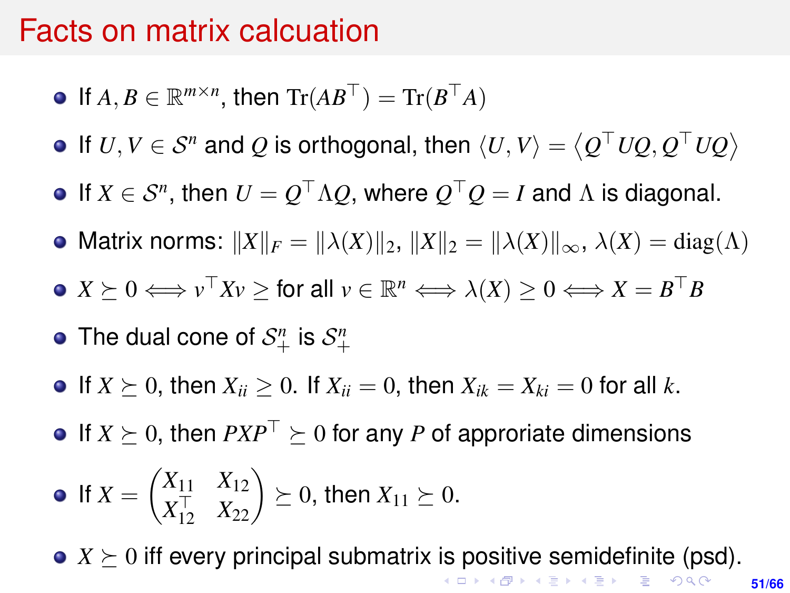#### <span id="page-50-0"></span>Facts on matrix calcuation

- If  $A, B \in \mathbb{R}^{m \times n}$ , then  $\text{Tr}(AB^{\top}) = \text{Tr}(B^{\top}A)$
- If  $U, V \in S^n$  and  $Q$  is orthogonal, then  $\langle U, V \rangle = \langle Q^{\top}UQ, Q^{\top}UQ \rangle$
- If  $X \in S^n$ , then  $U = Q^{\top} \Lambda Q$ , where  $Q^{\top} Q = I$  and  $\Lambda$  is diagonal.
- Matrix norms:  $||X||_F = ||\lambda(X)||_2$ ,  $||X||_2 = ||\lambda(X)||_{\infty}$ ,  $\lambda(X) = \text{diag}(\Lambda)$
- $X \succeq 0 \Longleftrightarrow v^\top X v \geq \text{for all } v \in \mathbb{R}^n \Longleftrightarrow \lambda(X) \geq 0 \Longleftrightarrow X = B^\top B$
- The dual cone of  $S^n_+$  is  $S^n_+$
- If  $X \succ 0$ , then  $X_{ii} > 0$ . If  $X_{ii} = 0$ , then  $X_{ik} = X_{ki} = 0$  for all k.
- $\bullet$  If  $X \succeq 0$ , then  $PXP^{\top} \succeq 0$  for any *P* of approriate dimensions

• If 
$$
X = \begin{pmatrix} X_{11} & X_{12} \\ X_{12}^{\top} & X_{22} \end{pmatrix} \succeq 0
$$
, then  $X_{11} \succeq 0$ .

•  $X \succeq 0$  $X \succeq 0$  $X \succeq 0$  iff every principal submatrix [is](#page-49-0) [po](#page-51-0)s[iti](#page-50-0)[v](#page-51-0)[e](#page-0-0) [se](#page-65-0)[mi](#page-0-0)[de](#page-65-0)[fi](#page-0-0)[nite](#page-65-0) (psd).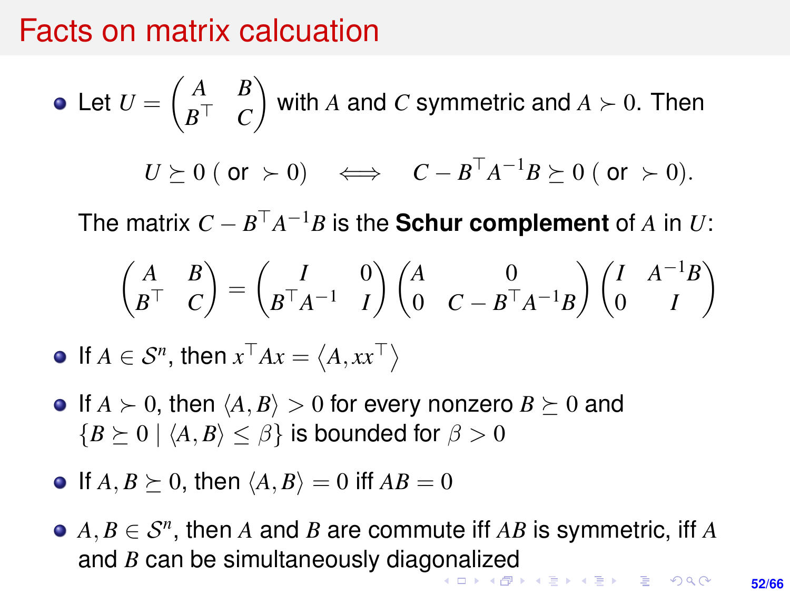#### <span id="page-51-0"></span>Facts on matrix calcuation

• Let 
$$
U = \begin{pmatrix} A & B \\ B^{\top} & C \end{pmatrix}
$$
 with A and C symmetric and  $A \succ 0$ . Then  
\n $U \succeq 0$  (or  $\succ 0$ )  $\iff C - B^{\top} A^{-1} B \succeq 0$  (or  $\succ 0$ ).

The matrix  $C - B^{\top}A^{-1}B$  is the **Schur complement** of *A* in *U*:

$$
\begin{pmatrix} A & B \\ B^{\top} & C \end{pmatrix} = \begin{pmatrix} I & 0 \\ B^{\top} A^{-1} & I \end{pmatrix} \begin{pmatrix} A & 0 \\ 0 & C - B^{\top} A^{-1} B \end{pmatrix} \begin{pmatrix} I & A^{-1} B \\ 0 & I \end{pmatrix}
$$

If  $A \in S^n$ , then  $x^\top Ax = \langle A, xx^\top \rangle$ 

- $\bullet$  If  $A \succ 0$ , then  $\langle A, B \rangle > 0$  for every nonzero  $B \succeq 0$  and  ${B \geq 0 \mid \langle A, B \rangle \leq \beta}$  is bounded for  $\beta > 0$
- $\bullet$  If  $A, B \succeq 0$ , then  $\langle A, B \rangle = 0$  iff  $AB = 0$
- $A, B \in \mathcal{S}^n$ , then *A* and *B* are commute iff *AB* is symmetric, iff *A* and *B* can be simultaneously diag[on](#page-50-0)[ali](#page-52-0)[z](#page-50-0)[ed](#page-51-0)<br>All the state of the state of the state of the state of the state of the state of the state of the state of the state of the state of the state of the state of the state of the st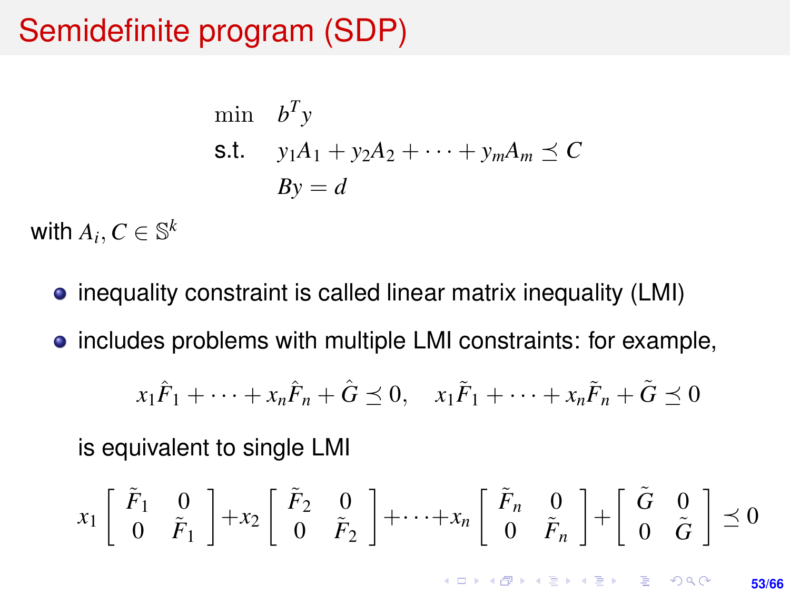## <span id="page-52-0"></span>Semidefinite program (SDP)

$$
\begin{aligned}\n\min \quad & b^T y \\
\text{s.t.} \quad & y_1 A_1 + y_2 A_2 + \dots + y_m A_m \le C \\
& By = d\n\end{aligned}
$$

with  $A_i, C \in \mathbb{S}^k$ 

- inequality constraint is called linear matrix inequality (LMI)
- **•** includes problems with multiple LMI constraints: for example,

$$
x_1\tilde{F}_1 + \dots + x_n\tilde{F}_n + \hat{G} \preceq 0, \quad x_1\tilde{F}_1 + \dots + x_n\tilde{F}_n + \tilde{G} \preceq 0
$$

is equivalent to single LMI

$$
x_1\left[\begin{array}{cc} \tilde{F}_1 & 0 \\ 0 & \tilde{F}_1 \end{array}\right] + x_2\left[\begin{array}{cc} \tilde{F}_2 & 0 \\ 0 & \tilde{F}_2 \end{array}\right] + \cdots + x_n\left[\begin{array}{cc} \tilde{F}_n & 0 \\ 0 & \tilde{F}_n \end{array}\right] + \left[\begin{array}{cc} \tilde{G} & 0 \\ 0 & \tilde{G} \end{array}\right] \preceq 0
$$

**KORKARK KERKER DRAM**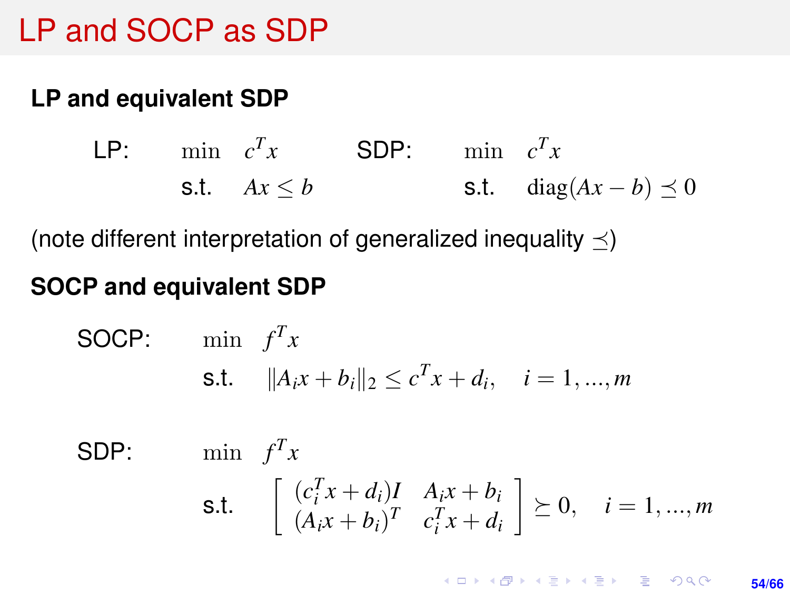## LP and SOCP as SDP

#### **LP and equivalent SDP**

LP: min  $c^T x$  SDP: min  $c^T x$ s.t.  $Ax \leq b$ s.t. diag $(Ax - b) \preceq 0$ 

(note different interpretation of generalized inequality  $\prec$ )

#### **SOCP and equivalent SDP**

**SOCP:** min 
$$
f^T x
$$
  
**s.t.**  $||A_i x + b_i||_2 \le c^T x + d_i$ ,  $i = 1,...,m$ 

SDP:  $\min$  *f<sup>T</sup>x* s.t.  $\begin{bmatrix} (c_i^T x + d_i)I & A_ix + b_i \\ (A_i x + b_i)^T & c_i^T x + d_i \end{bmatrix}$  $(A_i x + b_i)^T \quad c_i^T x + d_i$  $i \geq 0, \quad i = 1, ..., m$ 

> **KORKARK A BIK BIKA A GA A GA A GA A BIKA A BIKA A BIKA A BIKA A BIKA A BIKA A BIKA A BIKA A BIKA A BIKA A BIKA 54/66**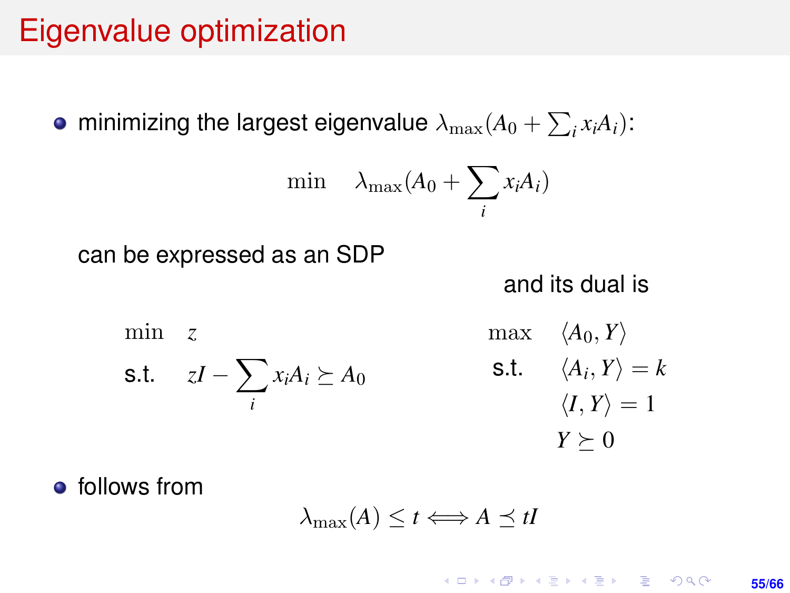## Eigenvalue optimization

minimizing the largest eigenvalue  $\lambda_{\max}(A_0 + \sum_i x_i A_i)$ :

$$
\min \quad \lambda_{\max}(A_0 + \sum_i x_i A_i)
$$

can be expressed as an SDP

and its dual is

min *z* s.t. *zI* − ∑ *i*  $x_iA_i \succeq A_0$  $max \langle A_0, Y \rangle$ s.t.  $\langle A_i, Y \rangle = k$  $\langle I, Y \rangle = 1$  $Y \succeq 0$ 

**•** follows from

$$
\lambda_{\max}(A) \leq t \Longleftrightarrow A \preceq tI
$$

**KORKARK KERKER DRAM 55/66**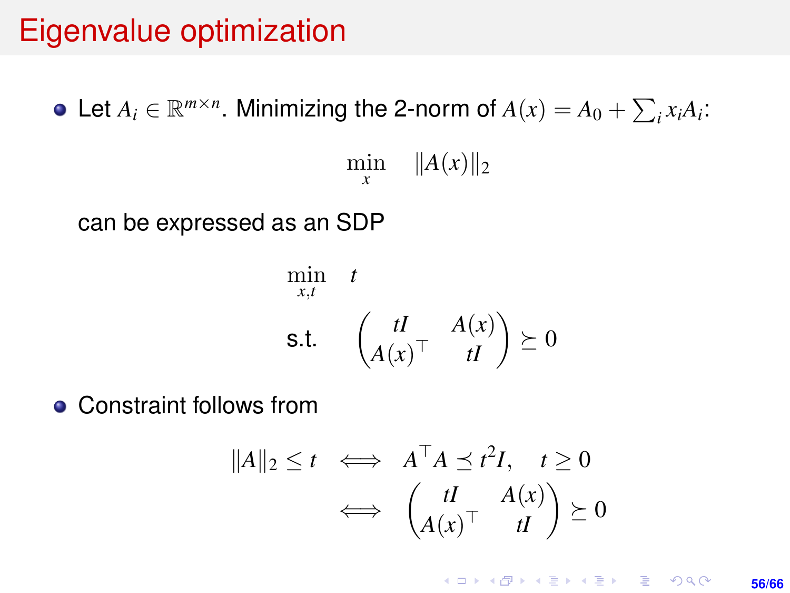## Eigenvalue optimization

Let  $A_i \in \mathbb{R}^{m \times n}$ . Minimizing the 2-norm of  $A(x) = A_0 + \sum_i x_i A_i$ :  $\min_{x}$   $\|A(x)\|_2$ *x* can be expressed as an SDP

$$
\min_{x,t} \quad t
$$
\n
$$
\text{s.t.} \quad \begin{pmatrix} tI & A(x) \\ A(x)^\top & tI \end{pmatrix} \succeq 0
$$

**• Constraint follows from** 

$$
||A||_2 \le t \iff A^\top A \preceq t^2 I, \quad t \ge 0
$$
  

$$
\iff \begin{pmatrix} tI & A(x) \\ A(x)^\top & tI \end{pmatrix} \succeq 0
$$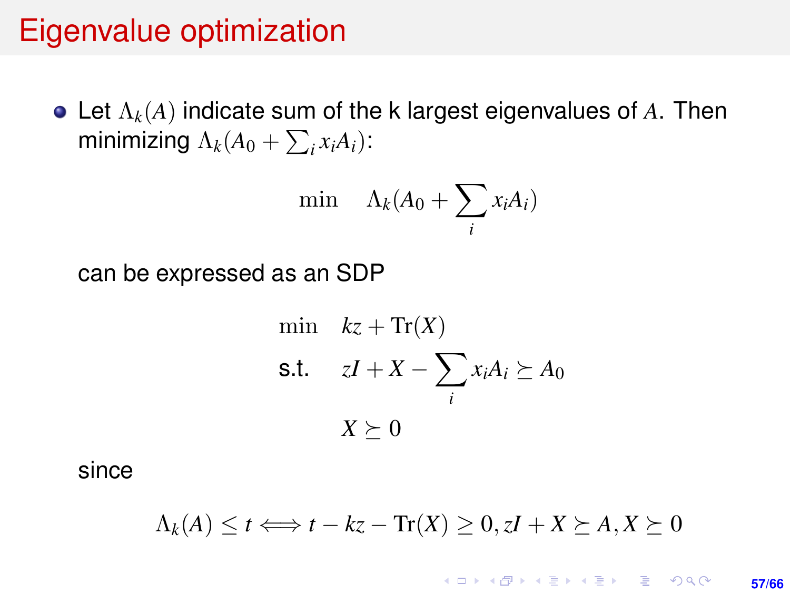#### Eigenvalue optimization

Let Λ*k*(*A*) indicate sum of the k largest eigenvalues of *A*. Then minimizing  $\Lambda_k(A_0 + \sum_i x_i A_i)$ :

$$
\min \quad \Lambda_k(A_0 + \sum_i x_i A_i)
$$

can be expressed as an SDP

min 
$$
kz + \text{Tr}(X)
$$
  
\ns.t.  $zI + X - \sum_i x_i A_i \succeq A_0$   
\n $X \succeq 0$ 

since

$$
\Lambda_k(A) \leq t \Longleftrightarrow t - kz - \text{Tr}(X) \geq 0, zI + X \succeq A, X \succeq 0
$$

**KORKARK KERKER DRAM 57/66**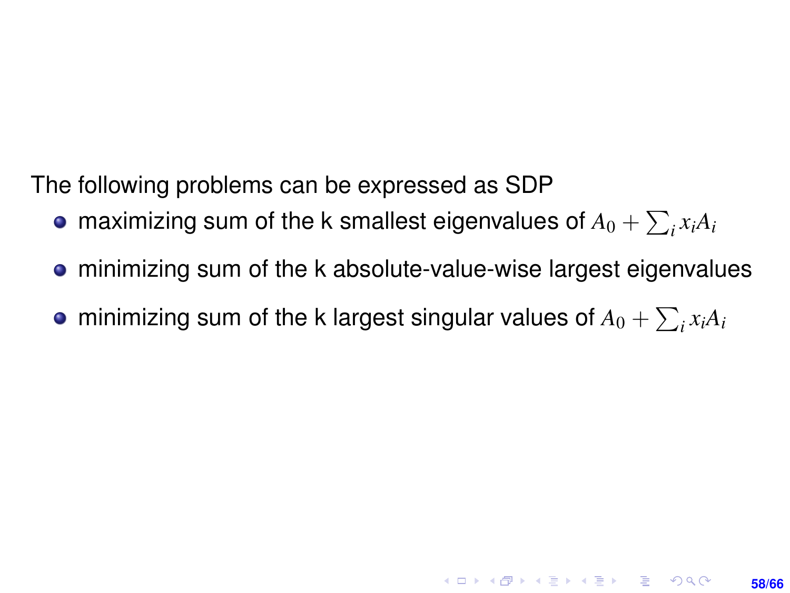The following problems can be expressed as SDP

- maximizing sum of the k smallest eigenvalues of  $A_0 + \sum_i x_i A_i$
- minimizing sum of the k absolute-value-wise largest eigenvalues

**58/66**

**KORKAR KERKER E VOOR** 

minimizing sum of the k largest singular values of  $A_0 + \sum_i x_i A_i$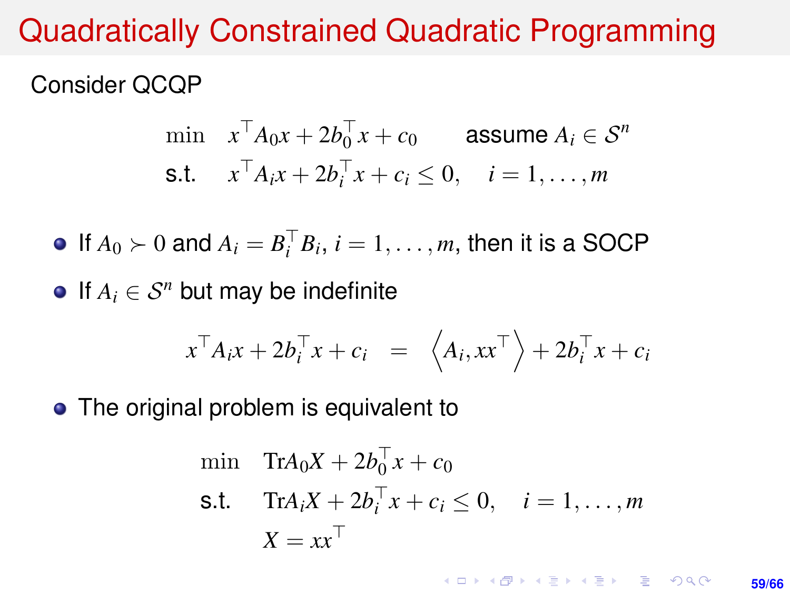## Quadratically Constrained Quadratic Programming

#### Consider QCQP

$$
\begin{aligned}\n\min \quad & x^\top A_0 x + 2b_0^\top x + c_0 \quad \text{assume } A_i \in \mathcal{S}^n \\
\text{s.t.} \quad & x^\top A_i x + 2b_i^\top x + c_i \le 0, \quad i = 1, \dots, m\n\end{aligned}
$$

If  $A_0 \succ 0$  and  $A_i = B_i^\top B_i$ ,  $i = 1, \ldots, m$ , then it is a SOCP

 $\bullet$  If  $A_i$  ∈  $S^n$  but may be indefinite

$$
x^{\top} A_i x + 2b_i^{\top} x + c_i = \langle A_i, xx^{\top} \rangle + 2b_i^{\top} x + c_i
$$

• The original problem is equivalent to

$$
\begin{aligned}\n\min \quad & \text{Tr}A_0 X + 2b_0^\top x + c_0 \\
\text{s.t.} \quad & \text{Tr}A_i X + 2b_i^\top x + c_i \le 0, \quad i = 1, \dots, m \\
& X = xx^\top\n\end{aligned}
$$

**KORKARK KERKER DRAM 59/66**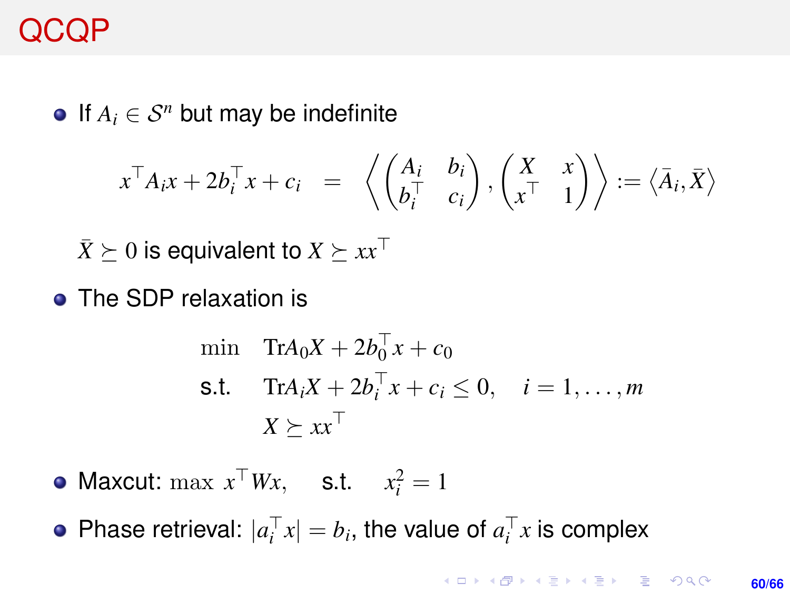## QCQP

 $\bullet$  If  $A_i$  ∈  $S^n$  but may be indefinite

$$
x^{\top} A_i x + 2b_i^{\top} x + c_i = \left\langle \begin{pmatrix} A_i & b_i \\ b_i^{\top} & c_i \end{pmatrix}, \begin{pmatrix} X & x \\ x^{\top} & 1 \end{pmatrix} \right\rangle := \left\langle \overline{A}_i, \overline{X} \right\rangle
$$

 $\bar{X}$   $\succeq$  0 is equivalent to  $X \succeq xx^\top$ 

• The SDP relaxation is

$$
\begin{aligned}\n\min \quad & \text{Tr} A_0 X + 2b_0^\top x + c_0 \\
\text{s.t.} \quad & \text{Tr} A_i X + 2b_i^\top x + c_i \le 0, \quad i = 1, \dots, m \\
& X \ge x x^\top\n\end{aligned}
$$

Maxcut:  $\max x^{\top}Wx$ , s.t.  $x_i^2 = 1$ 

Phase retrieval:  $|a_i^{\top} x| = b_i$ , the value of  $a_i^{\top} x$  is complex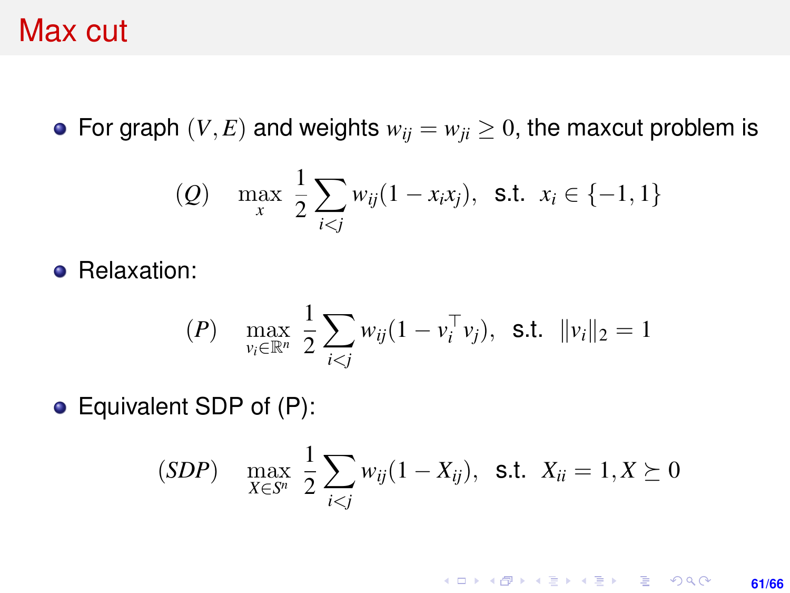#### Max cut

• For graph  $(V, E)$  and weights  $w_{ij} = w_{ji} \geq 0$ , the maxcut problem is

(Q) 
$$
\max_{x} \frac{1}{2} \sum_{i < j} w_{ij} (1 - x_i x_j), \text{ s.t. } x_i \in \{-1, 1\}
$$

**•** Relaxation:

$$
(P) \quad \max_{v_i \in \mathbb{R}^n} \frac{1}{2} \sum_{i < j} w_{ij} (1 - v_i^\top v_j), \quad \text{s.t.} \quad \|v_i\|_2 = 1
$$

Equivalent SDP of (P):

$$
(SDP) \quad \max_{X \in S^n} \frac{1}{2} \sum_{i < j} w_{ij} (1 - X_{ij}), \ \ \text{s.t.} \ \ X_{ii} = 1, X \succeq 0
$$

**KORKARK KERKER DRAM 61/66**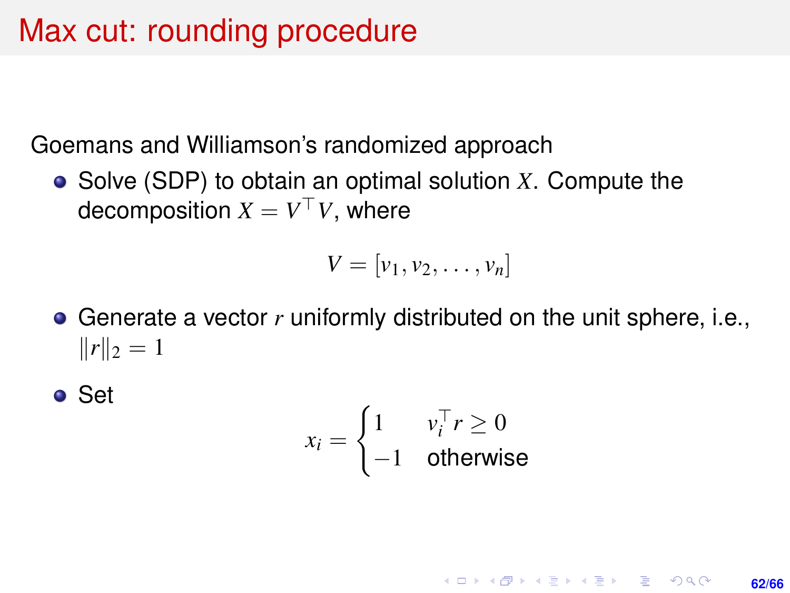## Max cut: rounding procedure

Goemans and Williamson's randomized approach

Solve (SDP) to obtain an optimal solution *X*. Compute the decomposition  $X = V^\top V$ , where

$$
V=[v_1,v_2,\ldots,v_n]
$$

Generate a vector *r* uniformly distributed on the unit sphere, i.e.,  $||r||_2 = 1$ 

● Set

$$
x_i = \begin{cases} 1 & v_i^\top r \ge 0 \\ -1 & \text{otherwise} \end{cases}
$$

**KORKARK KERKER DRAM 62/66**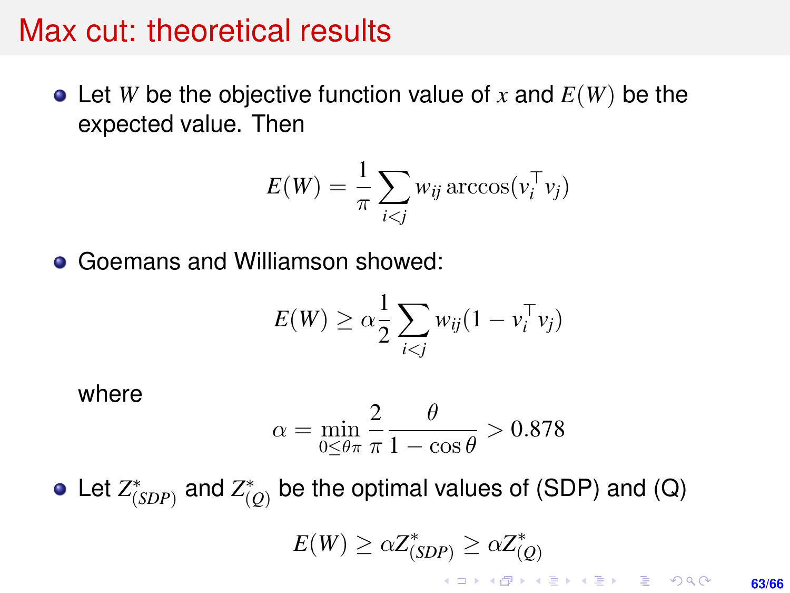#### Max cut: theoretical results

 $\bullet$  Let *W* be the objective function value of *x* and  $E(W)$  be the expected value. Then

$$
E(W) = \frac{1}{\pi} \sum_{i < j} w_{ij} \arccos(v_i^{\top} v_j)
$$

Goemans and Williamson showed:  $\bullet$ 

$$
E(W) \geq \alpha \frac{1}{2} \sum_{i < j} w_{ij} (1 - v_i^\top v_j)
$$

where

$$
\alpha = \min_{0 \le \theta \pi} \frac{2}{\pi} \frac{\theta}{1 - \cos \theta} > 0.878
$$

Let  $Z^*_{(SDP)}$  and  $Z^*_{(Q)}$  be the optimal values of (SDP) and (Q)  $E(W) \geq \alpha Z_{(SDP)}^* \geq \alpha Z_{(Q)}^*$ 

> KID KA KERKER E 1990 **63/66**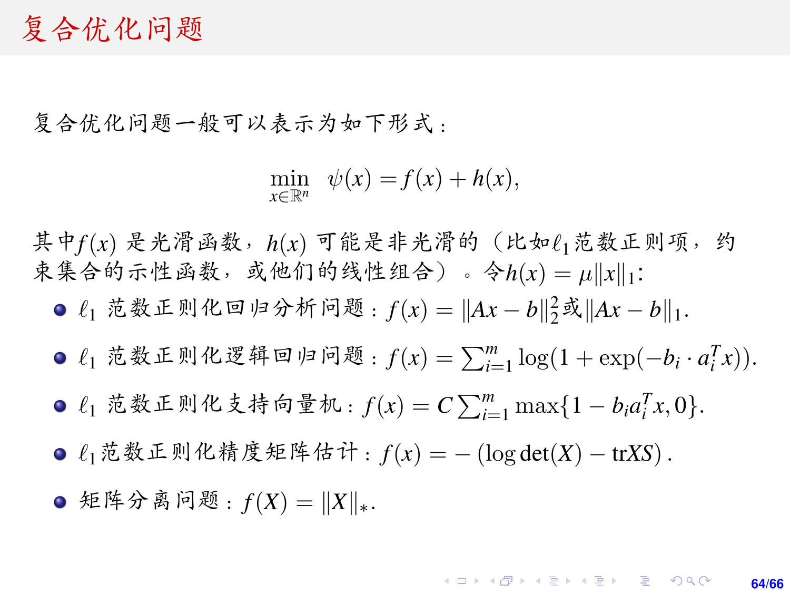#### <sup>复</sup>合优化问题

复合优化问题一般可以表示为如下形式:

$$
\min_{x \in \mathbb{R}^n} \psi(x) = f(x) + h(x),
$$

其中 $f(x)$  是光滑函数, h(x) 可能是非光滑的 (比如 $\ell_1$ 范数正则项, 约 <sup>束</sup>集合的示性函数,或他们的线性组合)。令*h*(*x*) = <sup>µ</sup>k*x*k1:

- $\ell_1$  范数正则化回归分析问题:  $f(x) = ||Ax b||_2^2$ 或 $||Ax b||_1$ .
- $\ell_1$  范数正则化逻辑回归问题:  $f(x) = \sum_{i=1}^m \log(1 + \exp(-b_i \cdot a_i^T x))$ .
- $\ell_1$  范数正则化支持向量机:  $f(x) = C \sum_{i=1}^m \max\{1 b_i a_i^T x, 0\}.$
- `1范数正则化精度矩阵估计:*f*(*x*) = <sup>−</sup> (log det(*X*) <sup>−</sup> tr*XS*).

**○** 矩阵分离问题:  $f(X) = ||X||_*$ .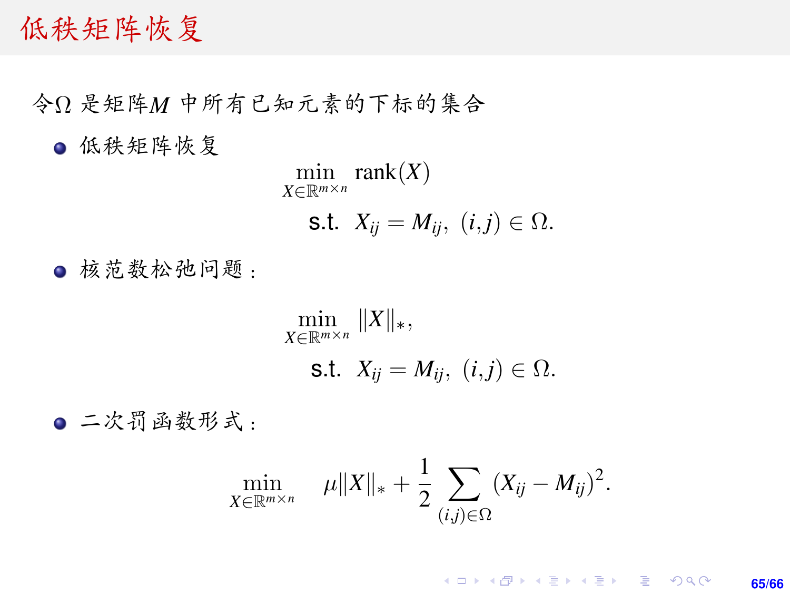#### 低秩矩阵恢复

<sup>令</sup><sup>Ω</sup> <sup>是</sup>矩阵*<sup>M</sup>* <sup>中</sup>所有已知元素的下标的集<sup>合</sup>

低秩矩阵恢复

$$
\min_{X \in \mathbb{R}^{m \times n}} \text{rank}(X)
$$
  
**s.t.**  $X_{ij} = M_{ij}, (i,j) \in \Omega$ .

<sup>核</sup>范数松弛问题:

$$
\min_{X \in \mathbb{R}^{m \times n}} \|X\|_{*},
$$
  
s.t.  $X_{ij} = M_{ij}, (i,j) \in \Omega.$ 

<sup>二</sup>次罚函数形式:

$$
\min_{X \in \mathbb{R}^{m \times n}} \quad \mu \|X\|_{*} + \frac{1}{2} \sum_{(i,j) \in \Omega} (X_{ij} - M_{ij})^{2}.
$$

K ロ > K @ > K 할 > K 할 > → 할 → 9 Q @ **65/66**